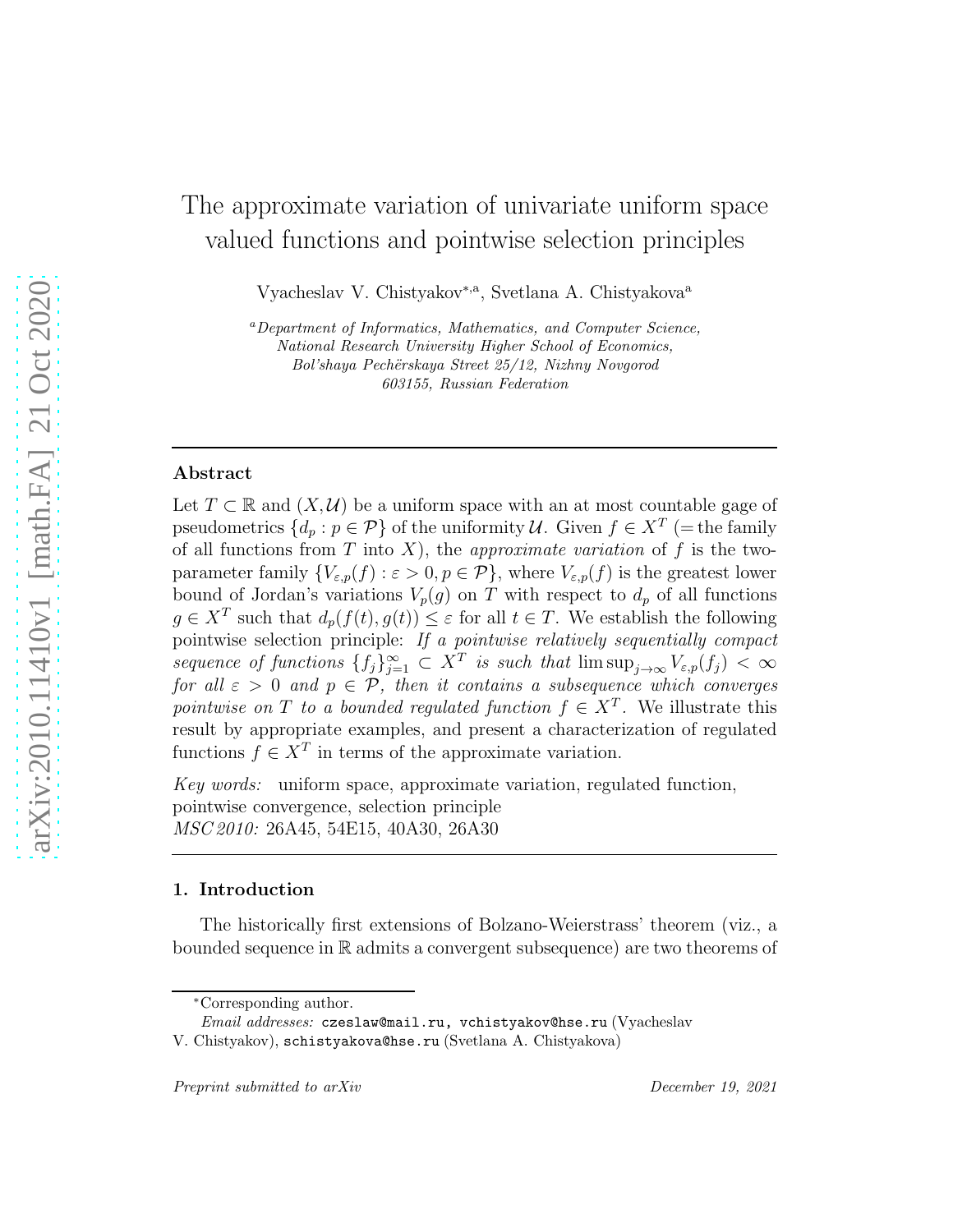# The approximate variation of univariate uniform space valued functions and pointwise selection principles

Vyacheslav V. Chistyakov<sup>∗,a</sup>, Svetlana A. Chistyakova<sup>a</sup>

<sup>a</sup>Department of Informatics, Mathematics, and Computer Science, National Research University Higher School of Economics, Bol'shaya Pechërskaya Street 25/12, Nizhny Novgorod 603155, Russian Federation

# Abstract

Let  $T \subset \mathbb{R}$  and  $(X, \mathcal{U})$  be a uniform space with an at most countable gage of pseudometrics  $\{d_p : p \in \mathcal{P}\}\$  of the uniformity  $\mathcal{U}$ . Given  $f \in X^T$  (= the family of all functions from T into X), the *approximate variation* of f is the twoparameter family  ${V_{\varepsilon,p}(f) : \varepsilon > 0, p \in \mathcal{P}}$ , where  $V_{\varepsilon,p}(f)$  is the greatest lower bound of Jordan's variations  $V_p(g)$  on T with respect to  $d_p$  of all functions  $g \in X^T$  such that  $d_p(f(t), g(t)) \leq \varepsilon$  for all  $t \in T$ . We establish the following pointwise selection principle: If a pointwise relatively sequentially compact sequence of functions  $\{f_j\}_{j=1}^{\infty} \subset X^T$  is such that  $\limsup_{j\to\infty} V_{\varepsilon,p}(f_j) < \infty$ for all  $\varepsilon > 0$  and  $p \in \mathcal{P}$ , then it contains a subsequence which converges pointwise on T to a bounded regulated function  $f \in X^T$ . We illustrate this result by appropriate examples, and present a characterization of regulated functions  $f \in X^T$  in terms of the approximate variation.

Key words: uniform space, approximate variation, regulated function, pointwise convergence, selection principle MSC 2010: 26A45, 54E15, 40A30, 26A30

# 1. Introduction

The historically first extensions of Bolzano-Weierstrass' theorem (viz., a bounded sequence in R admits a convergent subsequence) are two theorems of

<sup>∗</sup>Corresponding author.

Email addresses: czeslaw@mail.ru, vchistyakov@hse.ru (Vyacheslav

V. Chistyakov), schistyakova@hse.ru (Svetlana A. Chistyakova)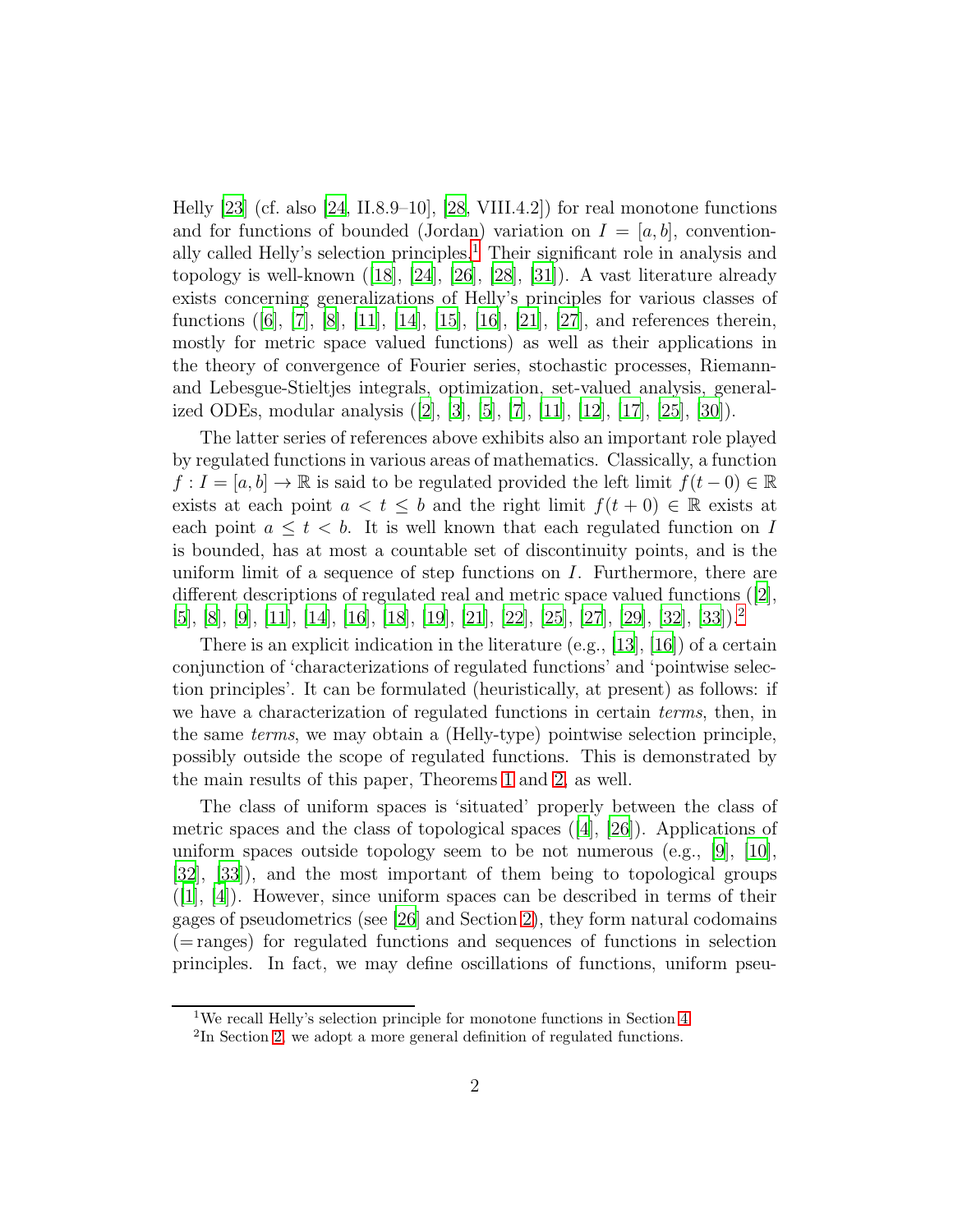Helly  $[23]$  (cf. also  $[24, II.8.9–10]$ ,  $[28, VIII.4.2]$ ) for real monotone functions and for functions of bounded (Jordan) variation on  $I = [a, b]$ , convention-ally called Helly's selection principles.<sup>[1](#page-1-0)</sup> Their significant role in analysis and topology is well-known ([\[18](#page-22-2)], [\[24\]](#page-22-1), [\[26\]](#page-22-3), [\[28\]](#page-23-0), [\[31](#page-23-1)]). A vast literature already exists concerning generalizations of Helly's principles for various classes of functions ([\[6\]](#page-21-0), [\[7\]](#page-21-1), [\[8\]](#page-21-2), [\[11\]](#page-21-3), [\[14\]](#page-22-4), [\[15\]](#page-22-5), [\[16\]](#page-22-6), [\[21\]](#page-22-7), [\[27\]](#page-22-8), and references therein, mostly for metric space valued functions) as well as their applications in the theory of convergence of Fourier series, stochastic processes, Riemannand Lebesgue-Stieltjes integrals, optimization, set-valued analysis, generalized ODEs, modular analysis ([\[2\]](#page-21-4), [\[3](#page-21-5)], [\[5\]](#page-21-6), [\[7](#page-21-1)], [\[11\]](#page-21-3), [\[12](#page-22-9)], [\[17\]](#page-22-10), [\[25\]](#page-22-11), [\[30](#page-23-2)]).

The latter series of references above exhibits also an important role played by regulated functions in various areas of mathematics. Classically, a function  $f: I = [a, b] \to \mathbb{R}$  is said to be regulated provided the left limit  $f(t-0) \in \mathbb{R}$ exists at each point  $a < t \leq b$  and the right limit  $f(t+0) \in \mathbb{R}$  exists at each point  $a \leq t \leq b$ . It is well known that each regulated function on I is bounded, has at most a countable set of discontinuity points, and is the uniform limit of a sequence of step functions on I. Furthermore, there are different descriptions of regulated real and metric space valued functions ([\[2\]](#page-21-4), [\[5\]](#page-21-6), [\[8](#page-21-2)], [\[9\]](#page-21-7), [\[11](#page-21-3)], [\[14\]](#page-22-4), [\[16](#page-22-6)], [\[18\]](#page-22-2), [\[19\]](#page-22-12), [\[21](#page-22-7)], [\[22\]](#page-22-13), [\[25\]](#page-22-11), [\[27](#page-22-8)], [\[29\]](#page-23-3), [\[32\]](#page-23-4), [\[33](#page-23-5)]).[2](#page-1-1)

There is an explicit indication in the literature (e.g., [\[13\]](#page-22-14), [\[16](#page-22-6)]) of a certain conjunction of 'characterizations of regulated functions' and 'pointwise selection principles'. It can be formulated (heuristically, at present) as follows: if we have a characterization of regulated functions in certain *terms*, then, in the same terms, we may obtain a (Helly-type) pointwise selection principle, possibly outside the scope of regulated functions. This is demonstrated by the main results of this paper, Theorems [1](#page-5-0) and [2,](#page-6-0) as well.

The class of uniform spaces is 'situated' properly between the class of metric spaces and the class of topological spaces ([\[4\]](#page-21-8), [\[26](#page-22-3)]). Applications of uniform spaces outside topology seem to be not numerous (e.g.,  $[9]$ ,  $[10]$ , [\[32\]](#page-23-4), [\[33\]](#page-23-5)), and the most important of them being to topological groups  $([1], [4])$  $([1], [4])$  $([1], [4])$  $([1], [4])$  $([1], [4])$ . However, since uniform spaces can be described in terms of their gages of pseudometrics (see [\[26](#page-22-3)] and Section [2\)](#page-2-0), they form natural codomains (= ranges) for regulated functions and sequences of functions in selection principles. In fact, we may define oscillations of functions, uniform pseu-

<sup>&</sup>lt;sup>1</sup>We recall Helly's selection principle for monotone functions in Section [4.](#page-15-0)

<span id="page-1-1"></span><span id="page-1-0"></span><sup>&</sup>lt;sup>2</sup>In Section [2,](#page-2-0) we adopt a more general definition of regulated functions.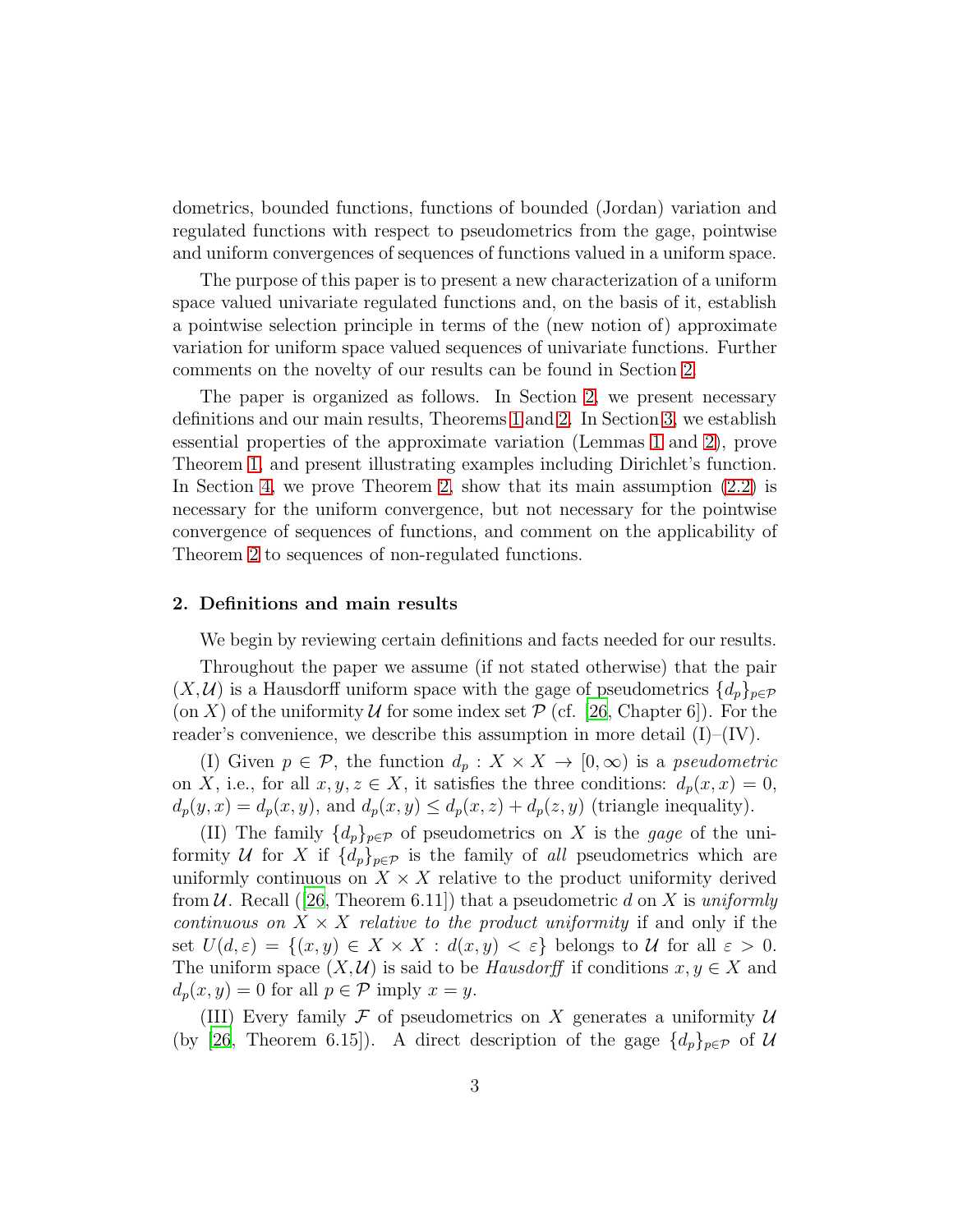dometrics, bounded functions, functions of bounded (Jordan) variation and regulated functions with respect to pseudometrics from the gage, pointwise and uniform convergences of sequences of functions valued in a uniform space.

The purpose of this paper is to present a new characterization of a uniform space valued univariate regulated functions and, on the basis of it, establish a pointwise selection principle in terms of the (new notion of) approximate variation for uniform space valued sequences of univariate functions. Further comments on the novelty of our results can be found in Section [2.](#page-2-0)

The paper is organized as follows. In Section [2,](#page-2-0) we present necessary definitions and our main results, Theorems [1](#page-5-0) and [2.](#page-6-0) In Section [3,](#page-6-1) we establish essential properties of the approximate variation (Lemmas [1](#page-7-0) and [2\)](#page-12-0), prove Theorem [1,](#page-5-0) and present illustrating examples including Dirichlet's function. In Section [4,](#page-15-0) we prove Theorem [2,](#page-6-0) show that its main assumption [\(2.2\)](#page-6-2) is necessary for the uniform convergence, but not necessary for the pointwise convergence of sequences of functions, and comment on the applicability of Theorem [2](#page-6-0) to sequences of non-regulated functions.

### <span id="page-2-0"></span>2. Definitions and main results

We begin by reviewing certain definitions and facts needed for our results.

Throughout the paper we assume (if not stated otherwise) that the pair  $(X, \mathcal{U})$  is a Hausdorff uniform space with the gage of pseudometrics  $\{d_p\}_{p\in\mathcal{P}}$ (on X) of the uniformity U for some index set  $\mathcal{P}$  (cf. [\[26](#page-22-3), Chapter 6]). For the reader's convenience, we describe this assumption in more detail  $(I)$ – $(IV)$ .

(I) Given  $p \in \mathcal{P}$ , the function  $d_p: X \times X \to [0, \infty)$  is a pseudometric on X, i.e., for all  $x, y, z \in X$ , it satisfies the three conditions:  $d_p(x, x) = 0$ ,  $d_p(y, x) = d_p(x, y)$ , and  $d_p(x, y) \leq d_p(x, z) + d_p(z, y)$  (triangle inequality).

(II) The family  $\{d_p\}_{p\in\mathcal{P}}$  of pseudometrics on X is the gage of the uniformity U for X if  $\{d_p\}_{p\in\mathcal{P}}$  is the family of all pseudometrics which are uniformly continuous on  $X \times X$  relative to the product uniformity derived from U. Recall ([\[26,](#page-22-3) Theorem 6.11]) that a pseudometric d on X is uniformly continuous on  $X \times X$  relative to the product uniformity if and only if the set  $U(d,\varepsilon) = \{(x,y) \in X \times X : d(x,y) < \varepsilon\}$  belongs to U for all  $\varepsilon > 0$ . The uniform space  $(X, \mathcal{U})$  is said to be *Hausdorff* if conditions  $x, y \in X$  and  $d_p(x, y) = 0$  for all  $p \in \mathcal{P}$  imply  $x = y$ .

(III) Every family  $\mathcal F$  of pseudometrics on X generates a uniformity  $\mathcal U$ (by [\[26,](#page-22-3) Theorem 6.15]). A direct description of the gage  $\{d_p\}_{p \in \mathcal{P}}$  of U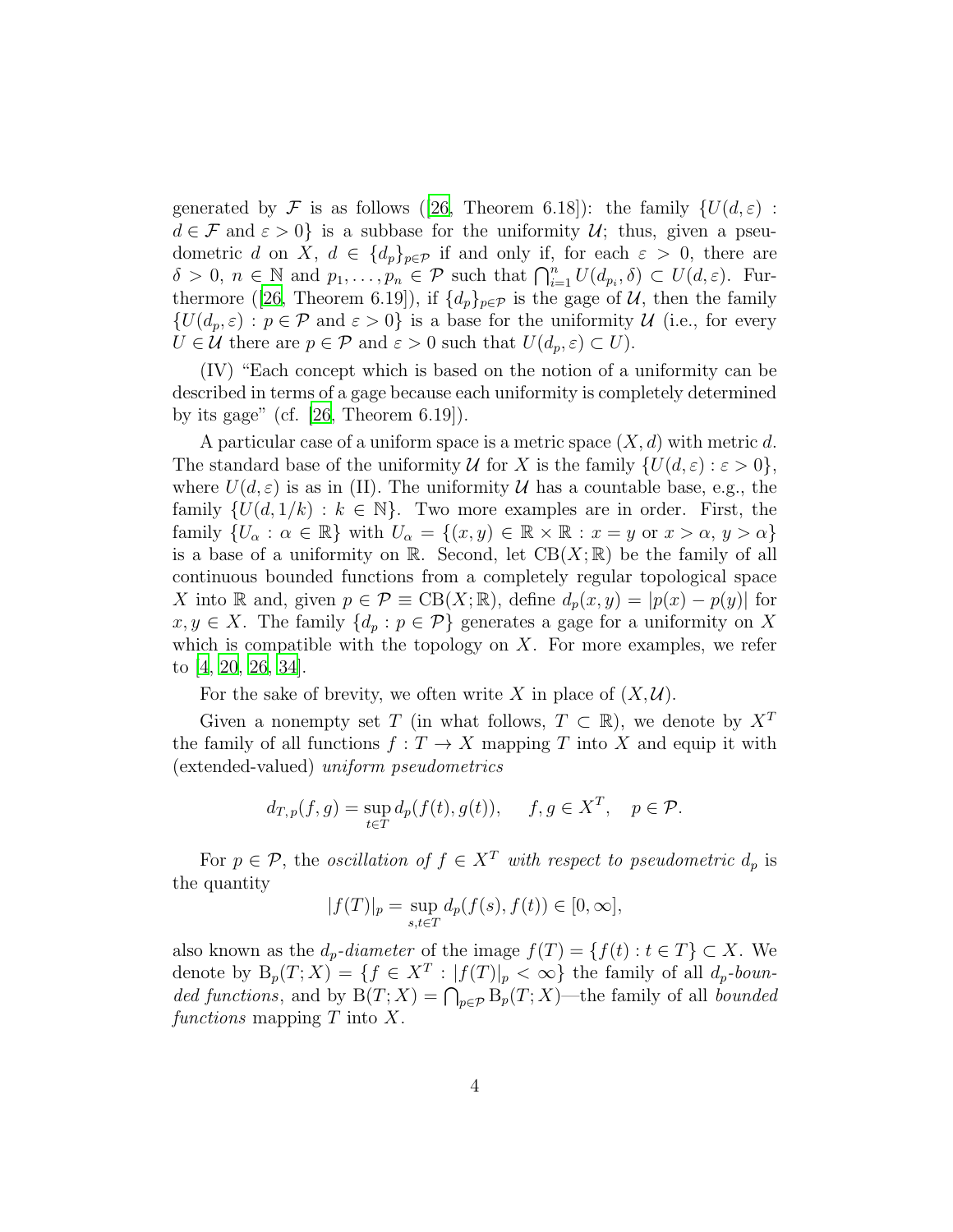generated by F is as follows ([\[26,](#page-22-3) Theorem 6.18]): the family  $\{U(d,\varepsilon)$ :  $d \in \mathcal{F}$  and  $\varepsilon > 0$  is a subbase for the uniformity  $\mathcal{U}$ ; thus, given a pseudometric d on X,  $d \in \{d_p\}_{p \in \mathcal{P}}$  if and only if, for each  $\varepsilon > 0$ , there are  $\delta > 0, n \in \mathbb{N}$  and  $p_1, \ldots, p_n \in \mathcal{P}$  such that  $\bigcap_{i=1}^n U(d_{p_i}, \delta) \subset U(d, \varepsilon)$ . Fur-thermore ([\[26,](#page-22-3) Theorem 6.19]), if  $\{d_p\}_{p\in\mathcal{P}}$  is the gage of  $\mathcal{U}$ , then the family  $\{U(d_p, \varepsilon) : p \in \mathcal{P} \text{ and } \varepsilon > 0\}$  is a base for the uniformity  $\mathcal{U}$  (i.e., for every  $U \in \mathcal{U}$  there are  $p \in \mathcal{P}$  and  $\varepsilon > 0$  such that  $U(d_p, \varepsilon) \subset U$ .

(IV) "Each concept which is based on the notion of a uniformity can be described in terms of a gage because each uniformity is completely determined by its gage" (cf.  $[26,$  Theorem 6.19]).

A particular case of a uniform space is a metric space  $(X, d)$  with metric d. The standard base of the uniformity U for X is the family  $\{U(d, \varepsilon) : \varepsilon > 0\},\$ where  $U(d, \varepsilon)$  is as in (II). The uniformity U has a countable base, e.g., the family  $\{U(d, 1/k) : k \in \mathbb{N}\}\$ . Two more examples are in order. First, the family  $\{U_\alpha : \alpha \in \mathbb{R}\}\$  with  $U_\alpha = \{(x, y) \in \mathbb{R} \times \mathbb{R} : x = y \text{ or } x > \alpha, y > \alpha\}$ is a base of a uniformity on  $\mathbb{R}$ . Second, let  $CB(X;\mathbb{R})$  be the family of all continuous bounded functions from a completely regular topological space X into R and, given  $p \in \mathcal{P} \equiv \text{CB}(X;\mathbb{R})$ , define  $d_p(x,y) = |p(x) - p(y)|$  for  $x, y \in X$ . The family  $\{d_p : p \in \mathcal{P}\}\$  generates a gage for a uniformity on X which is compatible with the topology on  $X$ . For more examples, we refer to [\[4](#page-21-8), [20](#page-22-15), [26,](#page-22-3) [34\]](#page-23-6).

For the sake of brevity, we often write X in place of  $(X, \mathcal{U})$ .

Given a nonempty set T (in what follows,  $T \subset \mathbb{R}$ ), we denote by  $X^T$ the family of all functions  $f: T \to X$  mapping T into X and equip it with (extended-valued) uniform pseudometrics

$$
d_{T,p}(f,g) = \sup_{t \in T} d_p(f(t), g(t)), \quad f, g \in X^T, \quad p \in \mathcal{P}.
$$

For  $p \in \mathcal{P}$ , the *oscillation of*  $f \in X^T$  with respect to pseudometric  $d_p$  is the quantity

$$
|f(T)|_p = \sup_{s,t \in T} d_p(f(s), f(t)) \in [0, \infty],
$$

also known as the  $d_p$ -diameter of the image  $f(T) = \{f(t) : t \in T\} \subset X$ . We denote by  $B_p(T;X) = \{f \in X^T : |f(T)|_p < \infty\}$  the family of all  $d_p$ -bounded functions, and by  $B(T; X) = \bigcap_{p \in \mathcal{P}} B_p(T; X)$ —the family of all bounded functions mapping  $T$  into  $X$ .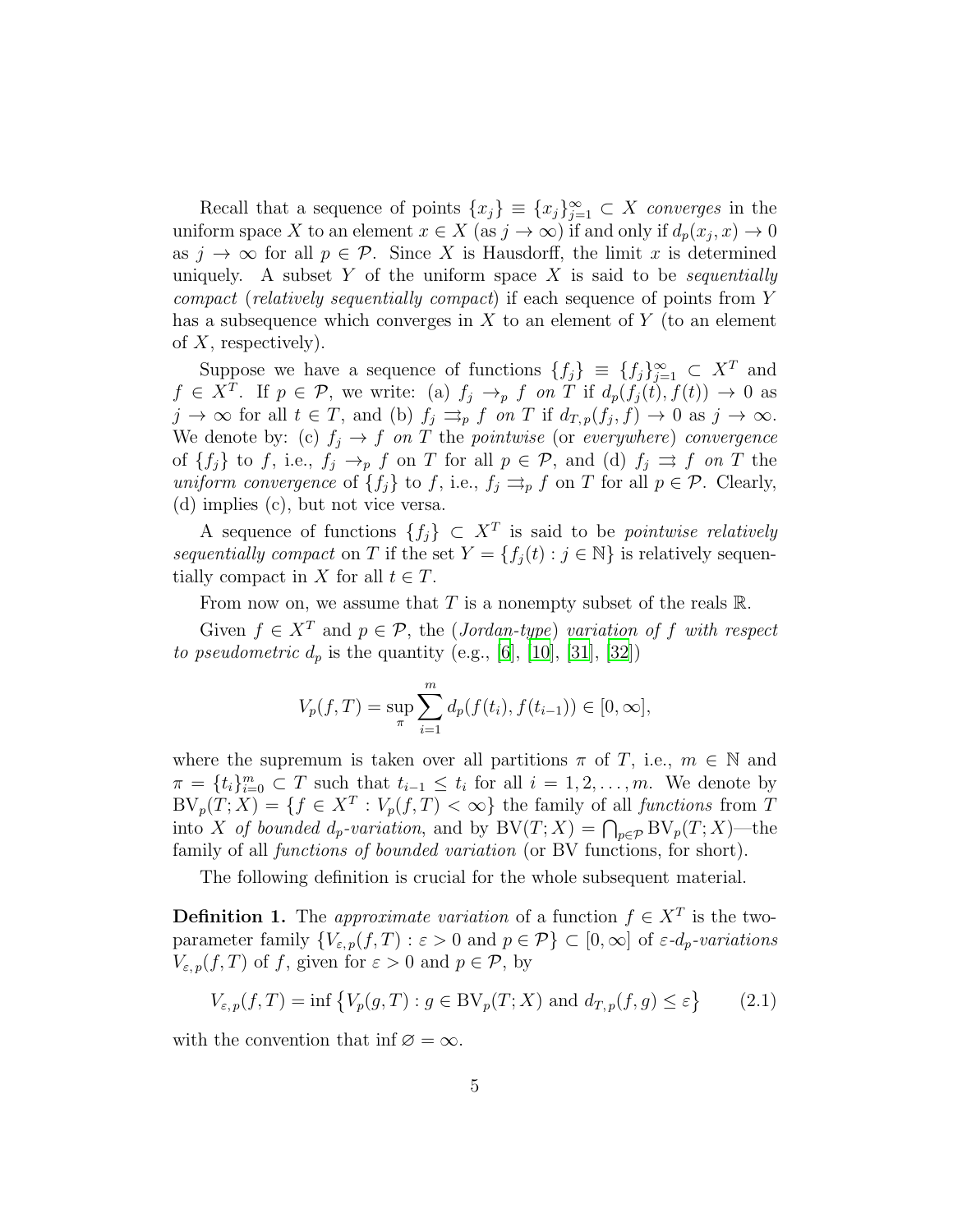Recall that a sequence of points  $\{x_j\} \equiv \{x_j\}_{j=1}^{\infty} \subset X$  converges in the uniform space X to an element  $x \in X$  (as  $j \to \infty$ ) if and only if  $d_p(x_j, x) \to 0$ as  $j \to \infty$  for all  $p \in \mathcal{P}$ . Since X is Hausdorff, the limit x is determined uniquely. A subset Y of the uniform space X is said to be *sequentially* compact (relatively sequentially compact) if each sequence of points from Y has a subsequence which converges in  $X$  to an element of  $Y$  (to an element of  $X$ , respectively).

Suppose we have a sequence of functions  $\{f_j\} \equiv \{f_j\}_{j=1}^{\infty} \subset X^T$  and  $f \in X^T$ . If  $p \in \mathcal{P}$ , we write: (a)  $f_j \to_p f$  on T if  $d_p(f_j(t), f(t)) \to 0$  as  $j \to \infty$  for all  $t \in T$ , and (b)  $f_j \rightrightarrows_p f$  on T if  $d_{T,p}(f_j, f) \to 0$  as  $j \to \infty$ . We denote by: (c)  $f_j \to f$  on T the pointwise (or everywhere) convergence of  $\{f_j\}$  to f, i.e.,  $f_j \rightarrow_p f$  on T for all  $p \in \mathcal{P}$ , and (d)  $f_j \Rightarrow f$  on T the uniform convergence of  $\{f_j\}$  to f, i.e.,  $f_j \rightrightarrows_p f$  on T for all  $p \in \mathcal{P}$ . Clearly, (d) implies (c), but not vice versa.

A sequence of functions  $\{f_j\} \subset X^T$  is said to be *pointwise relatively* sequentially compact on T if the set  $Y = \{f_i(t) : j \in \mathbb{N}\}\$ is relatively sequentially compact in X for all  $t \in T$ .

From now on, we assume that T is a nonempty subset of the reals  $\mathbb{R}$ .

Given  $f \in X^T$  and  $p \in \mathcal{P}$ , the (Jordan-type) variation of f with respect *to pseudometric*  $d_p$  *is the quantity (e.g., [\[6](#page-21-0)], [\[10\]](#page-21-9), [\[31\]](#page-23-1), [\[32](#page-23-4)])* 

$$
V_p(f,T) = \sup_{\pi} \sum_{i=1}^m d_p(f(t_i), f(t_{i-1})) \in [0, \infty],
$$

where the supremum is taken over all partitions  $\pi$  of T, i.e.,  $m \in \mathbb{N}$  and  $\pi = \{t_i\}_{i=0}^m \subset T$  such that  $t_{i-1} \leq t_i$  for all  $i = 1, 2, ..., m$ . We denote by  $BV_p(T;X) = \{f \in X^T : V_p(f,T) < \infty\}$  the family of all *functions* from T into X of bounded  $d_p$ -variation, and by  $BV(T; X) = \bigcap_{p \in \mathcal{P}} BV_p(T; X)$ —the family of all functions of bounded variation (or BV functions, for short).

The following definition is crucial for the whole subsequent material.

**Definition 1.** The *approximate variation* of a function  $f \in X^T$  is the twoparameter family  $\{V_{\varepsilon,p}(f,T): \varepsilon > 0 \text{ and } p \in \mathcal{P}\}\subset [0,\infty]$  of  $\varepsilon$ - $d_p$ -variations  $V_{\varepsilon,p}(f,T)$  of f, given for  $\varepsilon > 0$  and  $p \in \mathcal{P}$ , by

<span id="page-4-0"></span>
$$
V_{\varepsilon,p}(f,T) = \inf \left\{ V_p(g,T) : g \in BV_p(T;X) \text{ and } d_{T,p}(f,g) \le \varepsilon \right\} \tag{2.1}
$$

with the convention that inf  $\varnothing = \infty$ .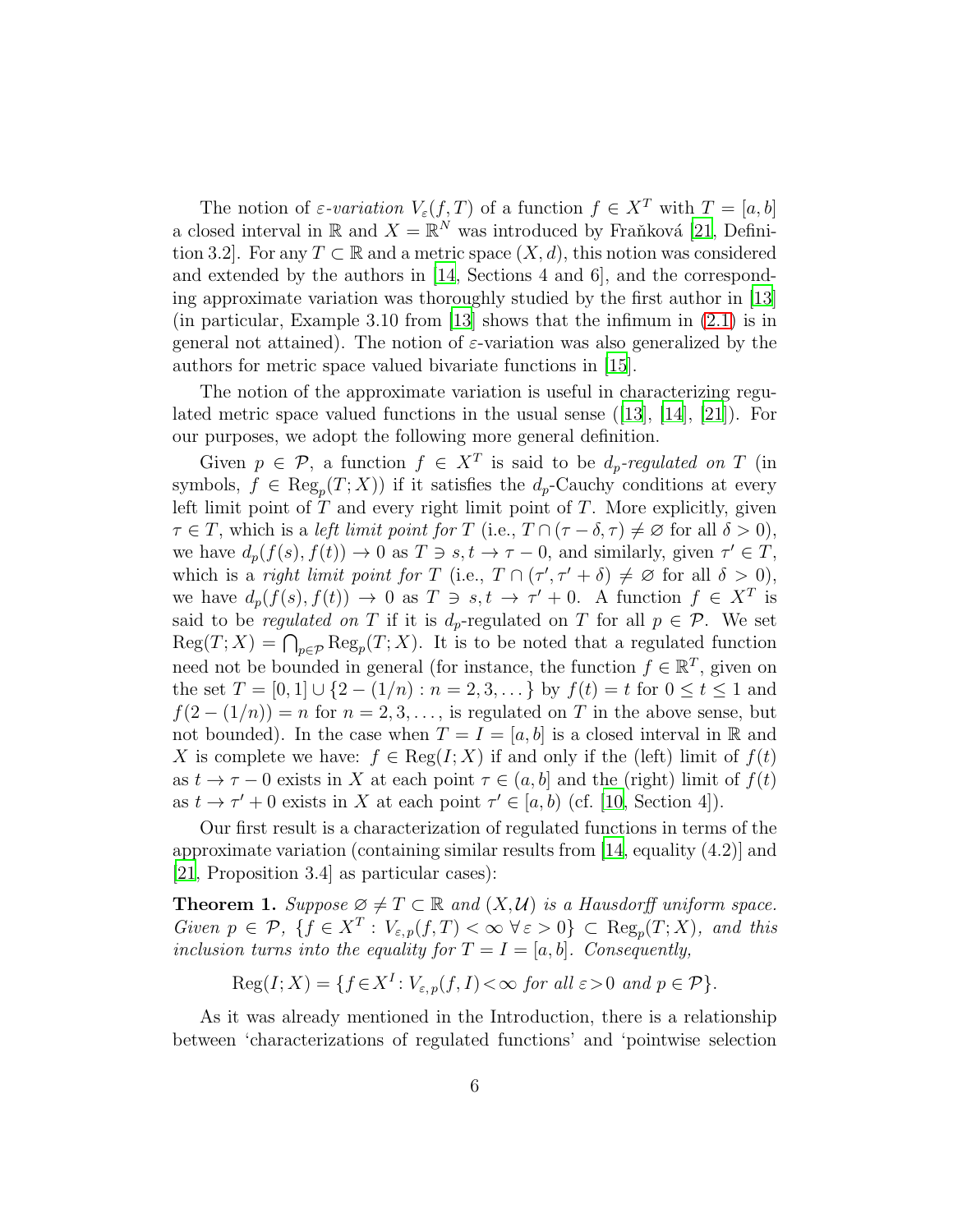The notion of  $\varepsilon$ -variation  $V_{\varepsilon}(f,T)$  of a function  $f \in X^T$  with  $T = [a, b]$ a closed interval in  $\mathbb{R}$  and  $X = \mathbb{R}^N$  was introduced by Fraňková [\[21,](#page-22-7) Definition 3.2. For any  $T \subset \mathbb{R}$  and a metric space  $(X, d)$ , this notion was considered and extended by the authors in [\[14,](#page-22-4) Sections 4 and 6], and the corresponding approximate variation was thoroughly studied by the first author in [\[13](#page-22-14)] (in particular, Example 3.10 from [\[13\]](#page-22-14) shows that the infimum in [\(2.1\)](#page-4-0) is in general not attained). The notion of  $\varepsilon$ -variation was also generalized by the authors for metric space valued bivariate functions in [\[15](#page-22-5)].

The notion of the approximate variation is useful in characterizing regulated metric space valued functions in the usual sense  $([13], [14], [21])$  $([13], [14], [21])$  $([13], [14], [21])$  $([13], [14], [21])$  $([13], [14], [21])$  $([13], [14], [21])$  $([13], [14], [21])$ . For our purposes, we adopt the following more general definition.

Given  $p \in \mathcal{P}$ , a function  $f \in X^T$  is said to be  $d_p$ -regulated on T (in symbols,  $f \in \text{Reg}_p(T; X)$  if it satisfies the  $d_p$ -Cauchy conditions at every left limit point of  $T$  and every right limit point of  $T$ . More explicitly, given  $\tau \in T$ , which is a left limit point for T (i.e.,  $T \cap (\tau - \delta, \tau) \neq \emptyset$  for all  $\delta > 0$ ), we have  $d_p(f(s), f(t)) \to 0$  as  $T \ni s, t \to \tau - 0$ , and similarly, given  $\tau' \in T$ , which is a *right limit point for* T (i.e.,  $T \cap (\tau', \tau' + \delta) \neq \emptyset$  for all  $\delta > 0$ ), we have  $d_p(f(s), f(t)) \to 0$  as  $T \ni s, t \to \tau' + 0$ . A function  $f \in X^T$  is said to be *regulated on* T if it is  $d_p$ -regulated on T for all  $p \in \mathcal{P}$ . We set  $\text{Reg}(T;X) = \bigcap_{p \in \mathcal{P}} \text{Reg}_p(T;X)$ . It is to be noted that a regulated function need not be bounded in general (for instance, the function  $f \in \mathbb{R}^T$ , given on the set  $T = [0, 1] \cup \{2 - (1/n) : n = 2, 3, \dots\}$  by  $f(t) = t$  for  $0 \le t \le 1$  and  $f(2-(1/n))=n$  for  $n=2,3,\ldots$ , is regulated on T in the above sense, but not bounded). In the case when  $T = I = [a, b]$  is a closed interval in R and X is complete we have:  $f \in \text{Reg}(I; X)$  if and only if the (left) limit of  $f(t)$ as  $t \to \tau - 0$  exists in X at each point  $\tau \in (a, b]$  and the (right) limit of  $f(t)$ as  $t \to \tau' + 0$  exists in X at each point  $\tau' \in [a, b)$  (cf. [\[10,](#page-21-9) Section 4]).

Our first result is a characterization of regulated functions in terms of the approximate variation (containing similar results from [\[14,](#page-22-4) equality (4.2)] and [\[21,](#page-22-7) Proposition 3.4] as particular cases):

<span id="page-5-0"></span>**Theorem 1.** Suppose  $\emptyset \neq T \subset \mathbb{R}$  and  $(X, \mathcal{U})$  is a Hausdorff uniform space. Given  $p \in \mathcal{P}$ ,  $\{f \in X^T : V_{\varepsilon,p}(f,T) < \infty \ \forall \varepsilon > 0\} \subset \text{Reg}_p(T;X)$ , and this inclusion turns into the equality for  $T = I = [a, b]$ . Consequently,

 $\text{Reg}(I;X) = \{f \in X^I : V_{\varepsilon,p}(f,I) < \infty \text{ for all } \varepsilon > 0 \text{ and } p \in \mathcal{P}\}.$ 

As it was already mentioned in the Introduction, there is a relationship between 'characterizations of regulated functions' and 'pointwise selection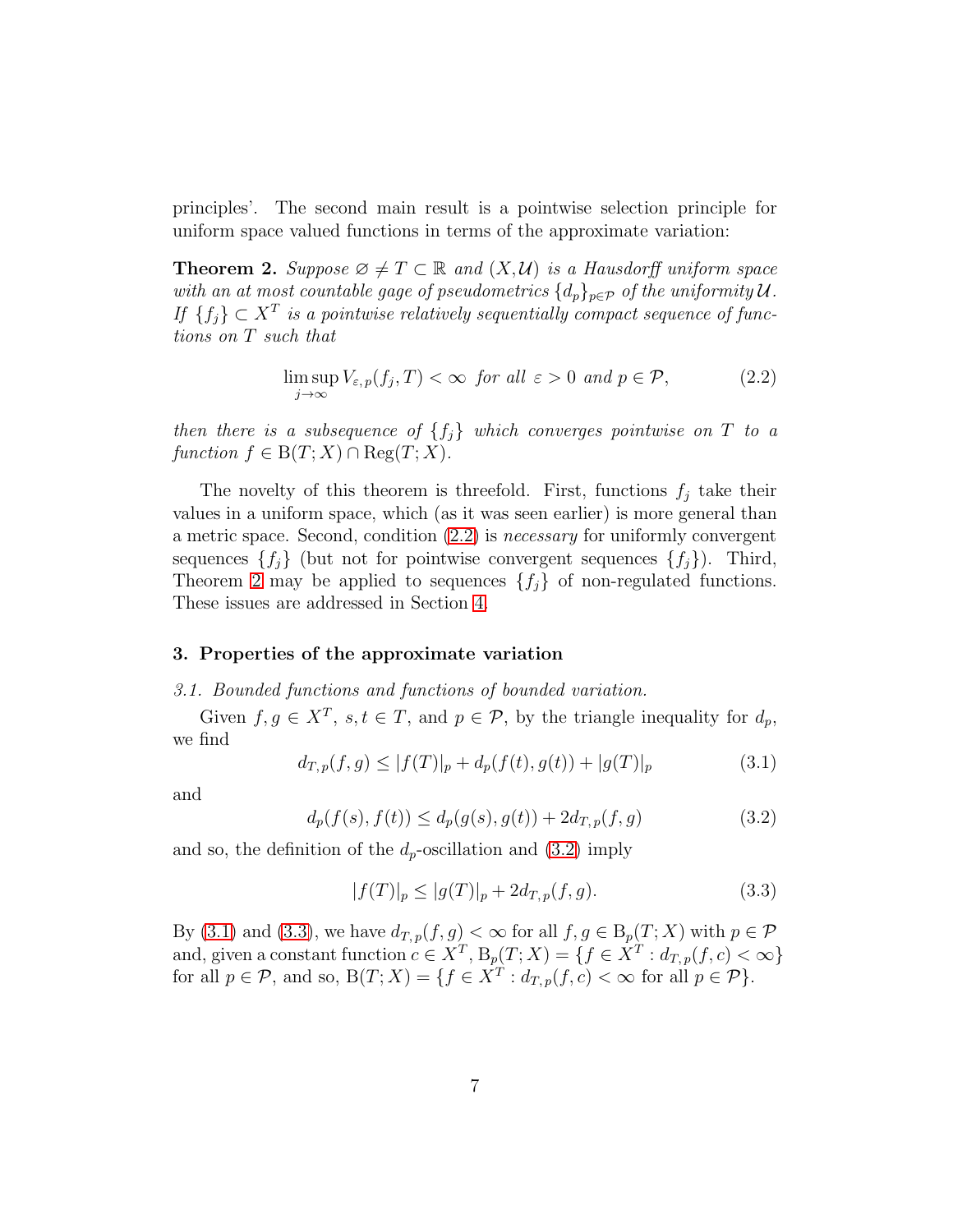principles'. The second main result is a pointwise selection principle for uniform space valued functions in terms of the approximate variation:

<span id="page-6-0"></span>**Theorem 2.** Suppose  $\emptyset \neq T \subset \mathbb{R}$  and  $(X, \mathcal{U})$  is a Hausdorff uniform space with an at most countable gage of pseudometrics  $\{d_p\}_{p\in\mathcal{P}}$  of the uniformity  $\mathcal{U}$ . If  ${f_j \} \subset X^T$  is a pointwise relatively sequentially compact sequence of functions on T such that

<span id="page-6-2"></span>
$$
\limsup_{j \to \infty} V_{\varepsilon, p}(f_j, T) < \infty \quad \text{for all } \varepsilon > 0 \quad \text{and } p \in \mathcal{P}, \tag{2.2}
$$

then there is a subsequence of  $\{f_j\}$  which converges pointwise on  $T$  to a function  $f \in B(T; X) \cap \text{Reg}(T; X)$ .

The novelty of this theorem is threefold. First, functions  $f_j$  take their values in a uniform space, which (as it was seen earlier) is more general than a metric space. Second, condition [\(2.2\)](#page-6-2) is necessary for uniformly convergent sequences  $\{f_j\}$  (but not for pointwise convergent sequences  $\{f_j\}$ ). Third, Theorem [2](#page-6-0) may be applied to sequences  $\{f_i\}$  of non-regulated functions. These issues are addressed in Section [4.](#page-15-0)

## <span id="page-6-1"></span>3. Properties of the approximate variation

#### 3.1. Bounded functions and functions of bounded variation.

Given  $f, g \in X^T$ ,  $s, t \in T$ , and  $p \in \mathcal{P}$ , by the triangle inequality for  $d_p$ , we find

<span id="page-6-4"></span>
$$
d_{T,p}(f,g) \le |f(T)|_p + d_p(f(t),g(t)) + |g(T)|_p \tag{3.1}
$$

and

<span id="page-6-3"></span>
$$
d_p(f(s), f(t)) \le d_p(g(s), g(t)) + 2d_{T,p}(f, g)
$$
\n(3.2)

and so, the definition of the  $d_p$ -oscillation and  $(3.2)$  imply

<span id="page-6-5"></span>
$$
|f(T)|_p \le |g(T)|_p + 2d_{T,p}(f,g). \tag{3.3}
$$

By [\(3.1\)](#page-6-4) and [\(3.3\)](#page-6-5), we have  $d_{T,p}(f,g) < \infty$  for all  $f,g \in B_p(T;X)$  with  $p \in \mathcal{P}$ and, given a constant function  $c \in X^T$ ,  $B_p(T; X) = \{f \in X^T : d_{T,p}(f, c) < \infty\}$ for all  $p \in \mathcal{P}$ , and so,  $B(T; X) = \{f \in X^T : d_{T,p}(f, c) < \infty \text{ for all } p \in \mathcal{P}\}.$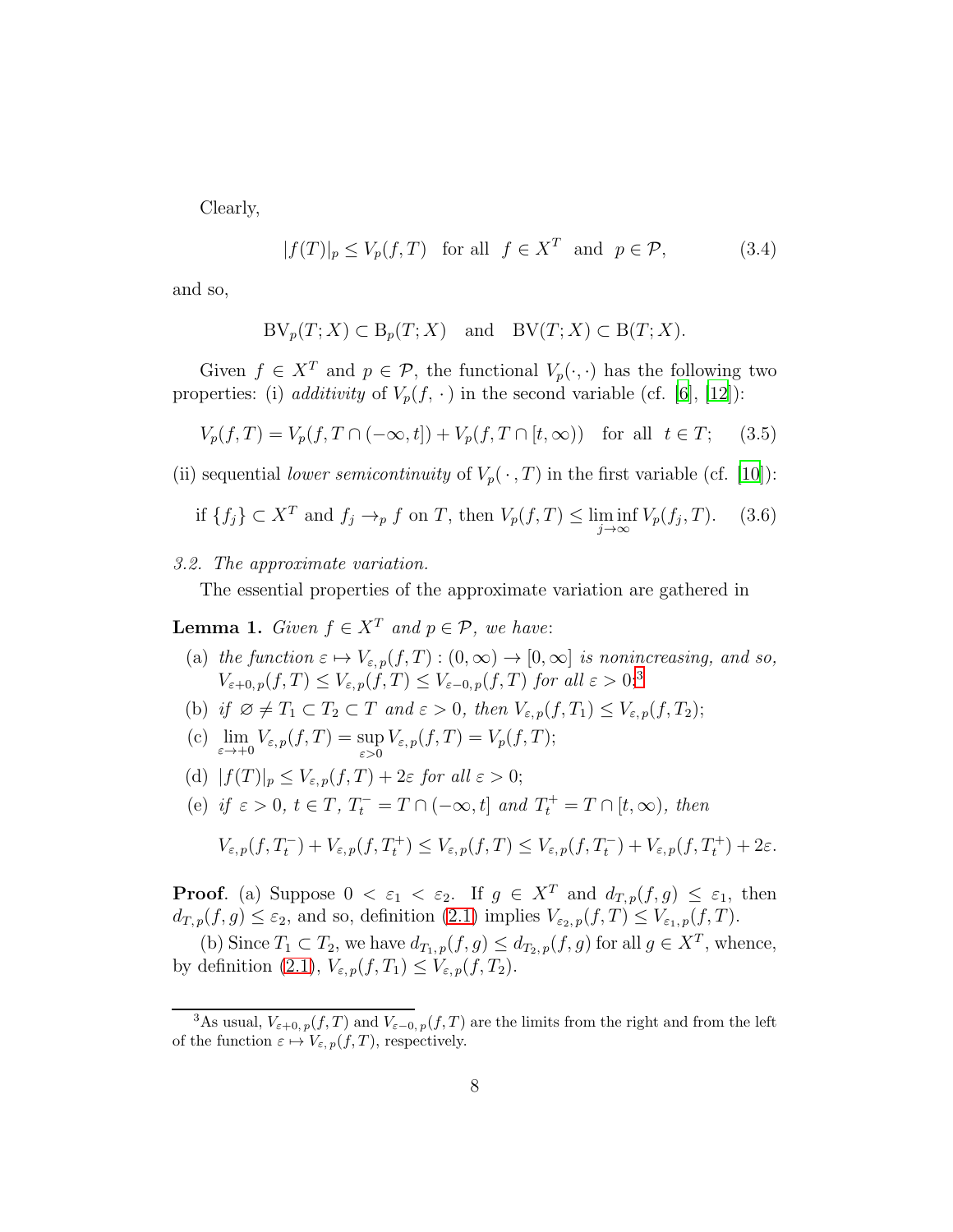Clearly,

<span id="page-7-3"></span>
$$
|f(T)|_p \le V_p(f, T) \quad \text{for all} \quad f \in X^T \quad \text{and} \quad p \in \mathcal{P}, \tag{3.4}
$$

and so,

$$
BV_p(T;X) \subset B_p(T;X) \quad \text{and} \quad BV(T;X) \subset B(T;X).
$$

Given  $f \in X^T$  and  $p \in \mathcal{P}$ , the functional  $V_p(\cdot, \cdot)$  has the following two properties: (i) additivity of  $V_p(f, \cdot)$  in the second variable (cf. [\[6](#page-21-0)], [\[12\]](#page-22-9)):

<span id="page-7-4"></span>
$$
V_p(f, T) = V_p(f, T \cap (-\infty, t]) + V_p(f, T \cap [t, \infty)) \text{ for all } t \in T; \quad (3.5)
$$

(ii) sequential *lower semicontinuity* of  $V_p(\cdot, T)$  in the first variable (cf. [\[10](#page-21-9)]):

<span id="page-7-2"></span>if 
$$
\{f_j\} \subset X^T
$$
 and  $f_j \to_p f$  on T, then  $V_p(f, T) \le \liminf_{j \to \infty} V_p(f_j, T)$ . (3.6)

3.2. The approximate variation.

The essential properties of the approximate variation are gathered in

<span id="page-7-0"></span>**Lemma 1.** Given  $f \in X^T$  and  $p \in \mathcal{P}$ , we have:

- (a) the function  $\varepsilon \mapsto V_{\varepsilon, p}(f, T) : (0, \infty) \to [0, \infty]$  is nonincreasing, and so,  $V_{\varepsilon+0,p}(f,T) \leq V_{\varepsilon,p}(f,T) \leq V_{\varepsilon-0,p}(f,T)$  for all  $\varepsilon > 0;$ <sup>[3](#page-7-1)</sup>
- (b) if  $\varnothing \neq T_1 \subset T_2 \subset T$  and  $\varepsilon > 0$ , then  $V_{\varepsilon,p}(f,T_1) \leq V_{\varepsilon,p}(f,T_2);$
- (c)  $\lim_{\varepsilon \to +0} V_{\varepsilon,p}(f,T) = \sup_{\varepsilon > 0} V_{\varepsilon,p}(f,T) = V_p(f,T);$
- (d)  $|f(T)|_p \leq V_{\varepsilon,p}(f,T) + 2\varepsilon$  for all  $\varepsilon > 0$ ;
- (e) if  $\varepsilon > 0$ ,  $t \in T$ ,  $T_t^- = T \cap (-\infty, t]$  and  $T_t^+ = T \cap [t, \infty)$ , then

$$
V_{\varepsilon,p}(f,T_t^-) + V_{\varepsilon,p}(f,T_t^+) \leq V_{\varepsilon,p}(f,T) \leq V_{\varepsilon,p}(f,T_t^-) + V_{\varepsilon,p}(f,T_t^+) + 2\varepsilon.
$$

**Proof.** (a) Suppose  $0 < \varepsilon_1 < \varepsilon_2$ . If  $g \in X^T$  and  $d_{T,p}(f,g) \leq \varepsilon_1$ , then  $d_{T,p}(f,g) \leq \varepsilon_2$ , and so, definition [\(2.1\)](#page-4-0) implies  $V_{\varepsilon_2,p}(f,T) \leq V_{\varepsilon_1,p}(f,T)$ .

(b) Since  $T_1 \subset T_2$ , we have  $d_{T_1,p}(f,g) \leq d_{T_2,p}(f,g)$  for all  $g \in X^T$ , whence, by definition [\(2.1\)](#page-4-0),  $V_{\varepsilon,p}(f,T_1) \leq V_{\varepsilon,p}(f,T_2)$ .

<span id="page-7-1"></span><sup>&</sup>lt;sup>3</sup>As usual,  $V_{\varepsilon+0,p}(f,T)$  and  $V_{\varepsilon-0,p}(f,T)$  are the limits from the right and from the left of the function  $\varepsilon \mapsto V_{\varepsilon, p}(f, T)$ , respectively.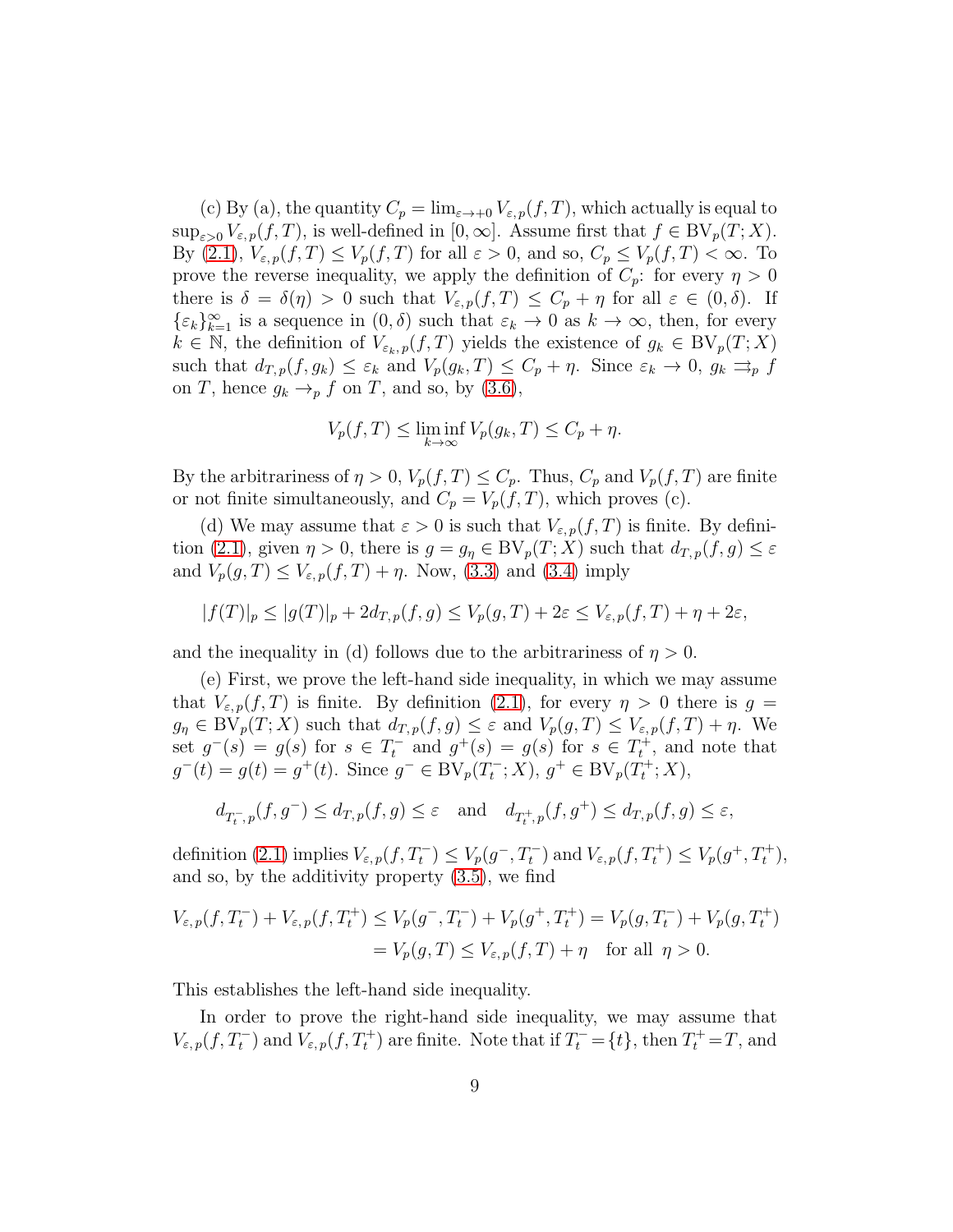(c) By (a), the quantity  $C_p = \lim_{\varepsilon \to 0} V_{\varepsilon,p}(f,T)$ , which actually is equal to  $\sup_{\varepsilon>0} V_{\varepsilon,p}(f,T)$ , is well-defined in  $[0,\infty]$ . Assume first that  $f \in BV_p(T;X)$ . By [\(2.1\)](#page-4-0),  $V_{\varepsilon,p}(f,T) \leq V_p(f,T)$  for all  $\varepsilon > 0$ , and so,  $C_p \leq V_p(f,T) < \infty$ . To prove the reverse inequality, we apply the definition of  $C_p$ : for every  $\eta > 0$ there is  $\delta = \delta(\eta) > 0$  such that  $V_{\varepsilon,p}(f,T) \leq C_p + \eta$  for all  $\varepsilon \in (0,\delta)$ . If  $\{\varepsilon_k\}_{k=1}^{\infty}$  is a sequence in  $(0, \delta)$  such that  $\varepsilon_k \to 0$  as  $k \to \infty$ , then, for every  $k \in \mathbb{N}$ , the definition of  $V_{\varepsilon_k, p}(f, T)$  yields the existence of  $g_k \in BV_p(T; X)$ such that  $d_{T,p}(f, g_k) \leq \varepsilon_k$  and  $V_p(g_k, T) \leq C_p + \eta$ . Since  $\varepsilon_k \to 0$ ,  $g_k \rightrightarrows_p f$ on T, hence  $g_k \rightarrow_p f$  on T, and so, by [\(3.6\)](#page-7-2),

$$
V_p(f,T) \le \liminf_{k \to \infty} V_p(g_k,T) \le C_p + \eta.
$$

By the arbitrariness of  $\eta > 0$ ,  $V_p(f, T) \leq C_p$ . Thus,  $C_p$  and  $V_p(f, T)$  are finite or not finite simultaneously, and  $C_p = V_p(f, T)$ , which proves (c).

(d) We may assume that  $\varepsilon > 0$  is such that  $V_{\varepsilon,p}(f,T)$  is finite. By defini-tion [\(2.1\)](#page-4-0), given  $\eta > 0$ , there is  $g = g_{\eta} \in BV_p(T; X)$  such that  $d_{T,p}(f, g) \leq \varepsilon$ and  $V_p(g,T) \leq V_{\varepsilon,p}(f,T) + \eta$ . Now, [\(3.3\)](#page-6-5) and [\(3.4\)](#page-7-3) imply

$$
|f(T)|_p\leq |g(T)|_p+2d_{T,p}(f,g)\leq V_p(g,T)+2\varepsilon\leq V_{\varepsilon,p}(f,T)+\eta+2\varepsilon,
$$

and the inequality in (d) follows due to the arbitrariness of  $n > 0$ .

(e) First, we prove the left-hand side inequality, in which we may assume that  $V_{\varepsilon,p}(f,T)$  is finite. By definition [\(2.1\)](#page-4-0), for every  $\eta > 0$  there is  $g =$  $g_{\eta} \in BV_p(T; X)$  such that  $d_{T,p}(f,g) \leq \varepsilon$  and  $V_p(g,T) \leq V_{\varepsilon,p}(f,T) + \eta$ . We set  $g^-(s) = g(s)$  for  $s \in T_t^-$  and  $g^+(s) = g(s)$  for  $s \in T_t^+$ , and note that  $g^-(t) = g(t) = g^+(t)$ . Since  $g^- \in BV_p(T_t^-; X)$ ,  $g^+ \in BV_p(T_t^+; X)$ ,

$$
d_{T_t^-,p}(f,g^-)\leq d_{T,p}(f,g)\leq \varepsilon\quad\text{and}\quad d_{T_t^+,p}(f,g^+)\leq d_{T,p}(f,g)\leq \varepsilon,
$$

definition [\(2.1\)](#page-4-0) implies  $V_{\varepsilon,p}(f,T_t^-) \leq V_p(g^-,T_t^-)$  and  $V_{\varepsilon,p}(f,T_t^+) \leq V_p(g^+,T_t^+),$ and so, by the additivity property [\(3.5\)](#page-7-4), we find

$$
V_{\varepsilon,p}(f,T_t^-) + V_{\varepsilon,p}(f,T_t^+) \le V_p(g^-,T_t^-) + V_p(g^+,T_t^+) = V_p(g,T_t^-) + V_p(g,T_t^+) = V_p(g,T) \le V_{\varepsilon,p}(f,T) + \eta \quad \text{for all } \eta > 0.
$$

This establishes the left-hand side inequality.

In order to prove the right-hand side inequality, we may assume that  $V_{\varepsilon,p}(f,T_t^-)$  and  $V_{\varepsilon,p}(f,T_t^+)$  are finite. Note that if  $T_t^-=\{t\}$ , then  $T_t^+=T$ , and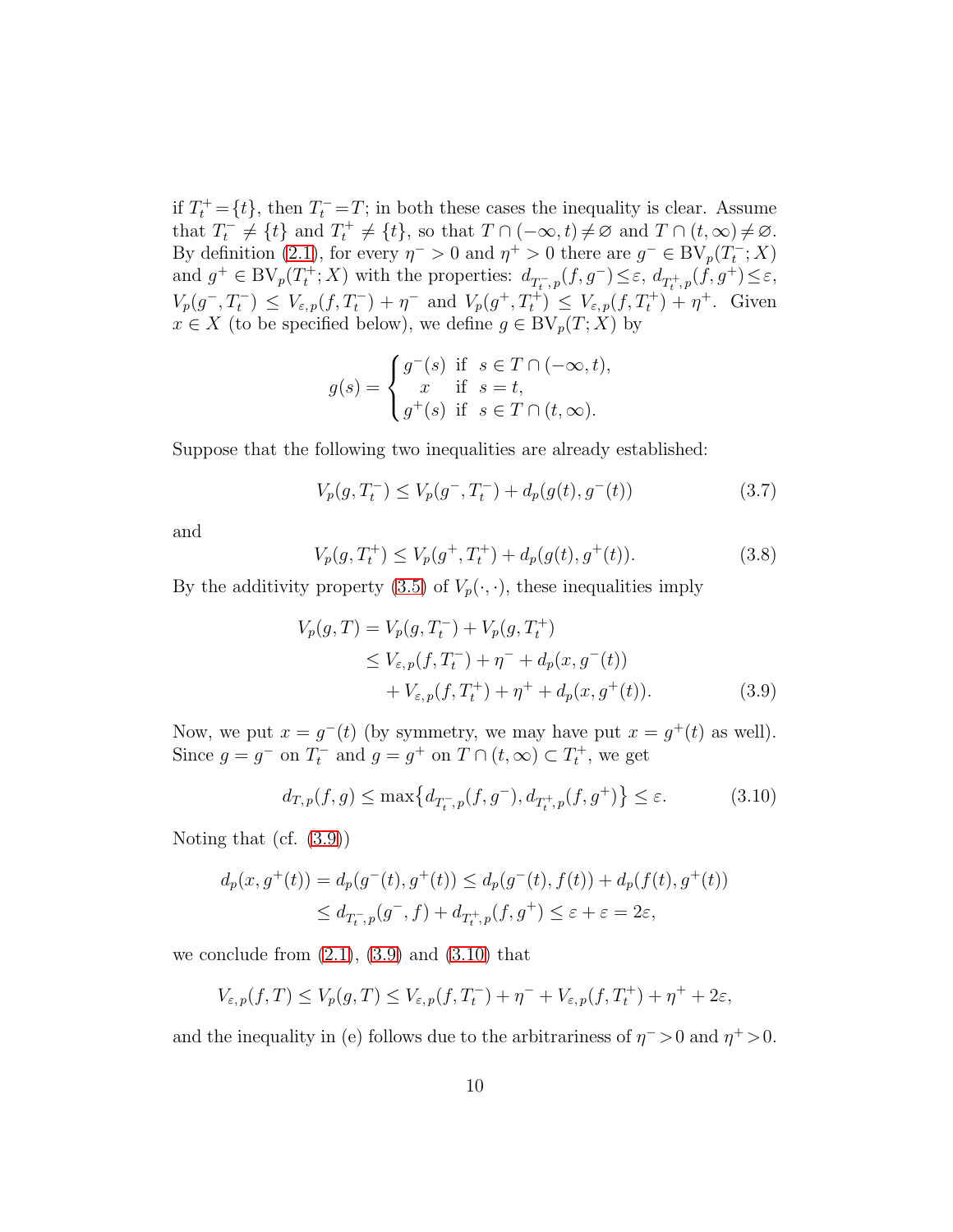if  $T_t^+ = \{t\}$ , then  $T_t^- = T$ ; in both these cases the inequality is clear. Assume that  $T_t^- \neq \{t\}$  and  $T_t^+ \neq \{t\}$ , so that  $T \cap (-\infty, t) \neq \emptyset$  and  $T \cap (t, \infty) \neq \emptyset$ . By definition [\(2.1\)](#page-4-0), for every  $\eta^{-} > 0$  and  $\eta^{+} > 0$  there are  $g^{-} \in BV_p(T_t^{-}; X)$ and  $g^+ \in BV_p(T_t^+; X)$  with the properties:  $d_{T_t^-,p}(f,g^-) \leq \varepsilon$ ,  $d_{T_t^+,p}(f,g^+) \leq \varepsilon$ ,  $V_p(g^-, T_t^-) \leq V_{\varepsilon,p}(f, T_t^-) + \eta^-$  and  $V_p(g^+, T_t^+) \leq V_{\varepsilon,p}(f, T_t^+) + \eta^+$ . Given  $x \in X$  (to be specified below), we define  $g \in BV_p(T; X)$  by

$$
g(s) = \begin{cases} g^-(s) & \text{if } s \in T \cap (-\infty, t), \\ x & \text{if } s = t, \\ g^+(s) & \text{if } s \in T \cap (t, \infty). \end{cases}
$$

Suppose that the following two inequalities are already established:

<span id="page-9-2"></span>
$$
V_p(g, T_t^-) \le V_p(g^-, T_t^-) + d_p(g(t), g^-(t))
$$
\n(3.7)

and

<span id="page-9-3"></span>
$$
V_p(g, T_t^+) \le V_p(g^+, T_t^+) + d_p(g(t), g^+(t)).
$$
\n(3.8)

By the additivity property [\(3.5\)](#page-7-4) of  $V_p(\cdot, \cdot)$ , these inequalities imply

<span id="page-9-0"></span>
$$
V_p(g, T) = V_p(g, T_t^-) + V_p(g, T_t^+)
$$
  
\n
$$
\leq V_{\varepsilon, p}(f, T_t^-) + \eta^- + d_p(x, g^-(t))
$$
  
\n
$$
+ V_{\varepsilon, p}(f, T_t^+) + \eta^+ + d_p(x, g^+(t)).
$$
\n(3.9)

Now, we put  $x = g^{-}(t)$  (by symmetry, we may have put  $x = g^{+}(t)$  as well). Since  $g = g^-$  on  $T_t^-$  and  $g = g^+$  on  $T \cap (t, \infty) \subset T_t^+$ , we get

<span id="page-9-1"></span>
$$
d_{T,p}(f,g) \le \max\left\{ d_{T_{t}^{-},p}(f,g^{-}), d_{T_{t}^{+},p}(f,g^{+}) \right\} \le \varepsilon. \tag{3.10}
$$

Noting that (cf. [\(3.9\)](#page-9-0))

$$
d_p(x, g^+(t)) = d_p(g^-(t), g^+(t)) \le d_p(g^-(t), f(t)) + d_p(f(t), g^+(t))
$$
  

$$
\le d_{T_{t,p}^-(g^-, f) + d_{T_{t,p}^+(f, g^+)} \le \varepsilon + \varepsilon = 2\varepsilon,
$$

we conclude from  $(2.1)$ ,  $(3.9)$  and  $(3.10)$  that

$$
V_{\varepsilon,p}(f,T) \le V_p(g,T) \le V_{\varepsilon,p}(f,T_t^-) + \eta^- + V_{\varepsilon,p}(f,T_t^+) + \eta^+ + 2\varepsilon,
$$

and the inequality in (e) follows due to the arbitrariness of  $\eta$ <sup>-</sup> > 0 and  $\eta$ <sup>+</sup> > 0.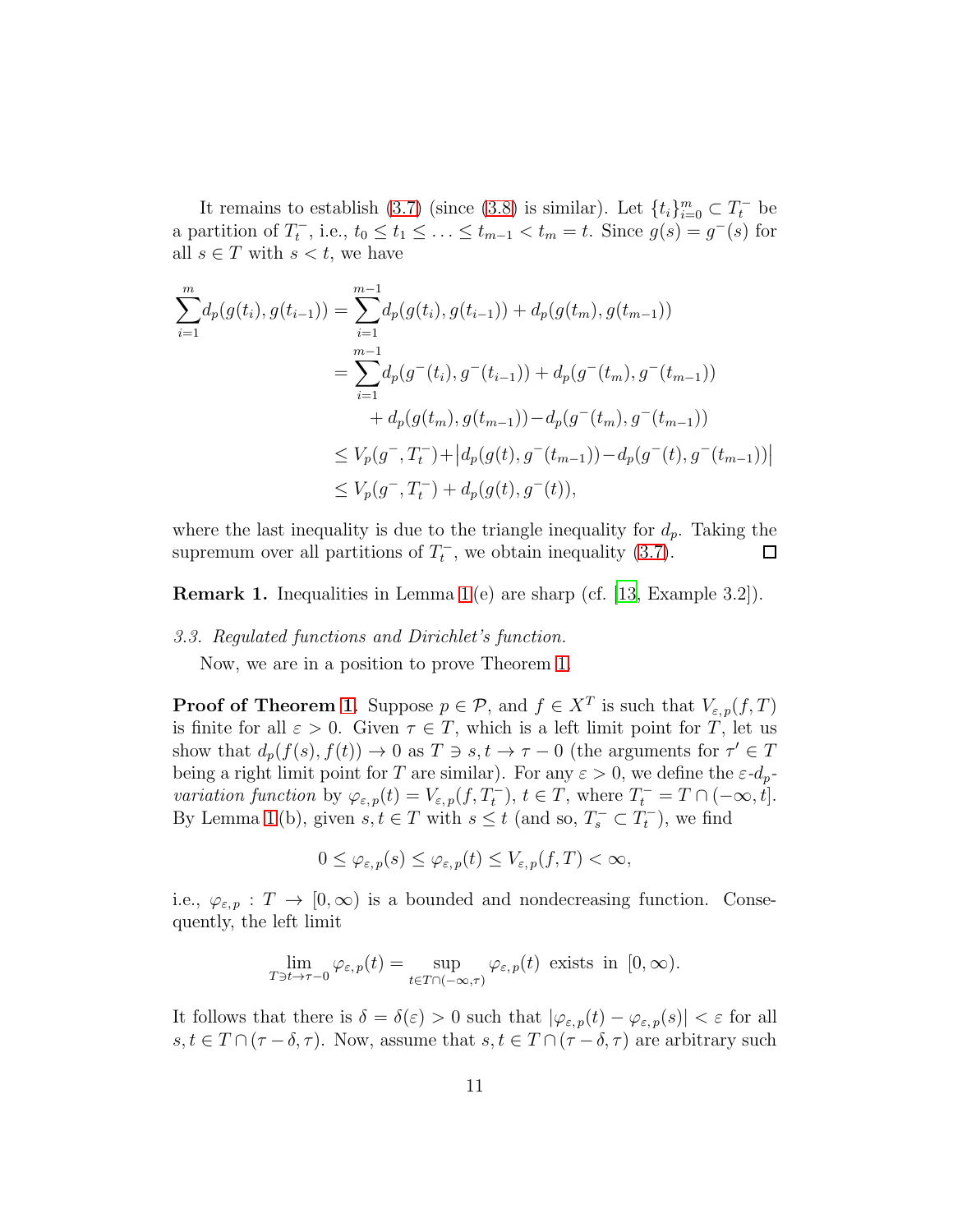It remains to establish [\(3.7\)](#page-9-2) (since [\(3.8\)](#page-9-3) is similar). Let  $\{t_i\}_{i=0}^m \subset T_t^-$  be a partition of  $T_t^-$ , i.e.,  $t_0 \le t_1 \le \ldots \le t_{m-1} < t_m = t$ . Since  $g(s) = g^-(s)$  for all  $s \in T$  with  $s < t$ , we have

$$
\sum_{i=1}^{m} d_p(g(t_i), g(t_{i-1})) = \sum_{i=1}^{m-1} d_p(g(t_i), g(t_{i-1})) + d_p(g(t_m), g(t_{m-1}))
$$
  
\n
$$
= \sum_{i=1}^{m-1} d_p(g^-(t_i), g^-(t_{i-1})) + d_p(g^-(t_m), g^-(t_{m-1}))
$$
  
\n
$$
+ d_p(g(t_m), g(t_{m-1})) - d_p(g^-(t_m), g^-(t_{m-1}))
$$
  
\n
$$
\leq V_p(g^-, T_t^-) + |d_p(g(t), g^-(t_{m-1})) - d_p(g^-(t), g^-(t_{m-1}))|
$$
  
\n
$$
\leq V_p(g^-, T_t^-) + d_p(g(t), g^-(t)),
$$

where the last inequality is due to the triangle inequality for  $d_p$ . Taking the supremum over all partitions of  $T_t^-$ , we obtain inequality [\(3.7\)](#page-9-2).  $\Box$ 

Remark 1. Inequalities in Lemma [1](#page-7-0) (e) are sharp (cf. [\[13,](#page-22-14) Example 3.2]).

## 3.3. Regulated functions and Dirichlet's function.

Now, we are in a position to prove Theorem [1.](#page-5-0)

**Proof of Theorem [1](#page-5-0).** Suppose  $p \in \mathcal{P}$ , and  $f \in X^T$  is such that  $V_{\varepsilon,p}(f,T)$ is finite for all  $\varepsilon > 0$ . Given  $\tau \in T$ , which is a left limit point for T, let us show that  $d_p(f(s), f(t)) \to 0$  as  $T \ni s, t \to \tau - 0$  (the arguments for  $\tau' \in T$ being a right limit point for T are similar). For any  $\varepsilon > 0$ , we define the  $\varepsilon$ - $d_p$ variation function by  $\varphi_{\varepsilon,p}(t) = V_{\varepsilon,p}(f,T_t^-), t \in T$ , where  $T_t^- = T \cap (-\infty, t]$ . By Lemma [1](#page-7-0)(b), given  $s, t \in T$  with  $s \leq t$  (and so,  $T_s^- \subset T_t^-$ ), we find

$$
0 \leq \varphi_{\varepsilon,p}(s) \leq \varphi_{\varepsilon,p}(t) \leq V_{\varepsilon,p}(f,T) < \infty,
$$

i.e.,  $\varphi_{\varepsilon,p} : T \to [0,\infty)$  is a bounded and nondecreasing function. Consequently, the left limit

$$
\lim_{T \ni t \to \tau - 0} \varphi_{\varepsilon, p}(t) = \sup_{t \in T \cap (-\infty, \tau)} \varphi_{\varepsilon, p}(t) \text{ exists in } [0, \infty).
$$

It follows that there is  $\delta = \delta(\varepsilon) > 0$  such that  $|\varphi_{\varepsilon, p}(t) - \varphi_{\varepsilon, p}(s)| < \varepsilon$  for all  $s, t \in T \cap (\tau - \delta, \tau)$ . Now, assume that  $s, t \in T \cap (\tau - \delta, \tau)$  are arbitrary such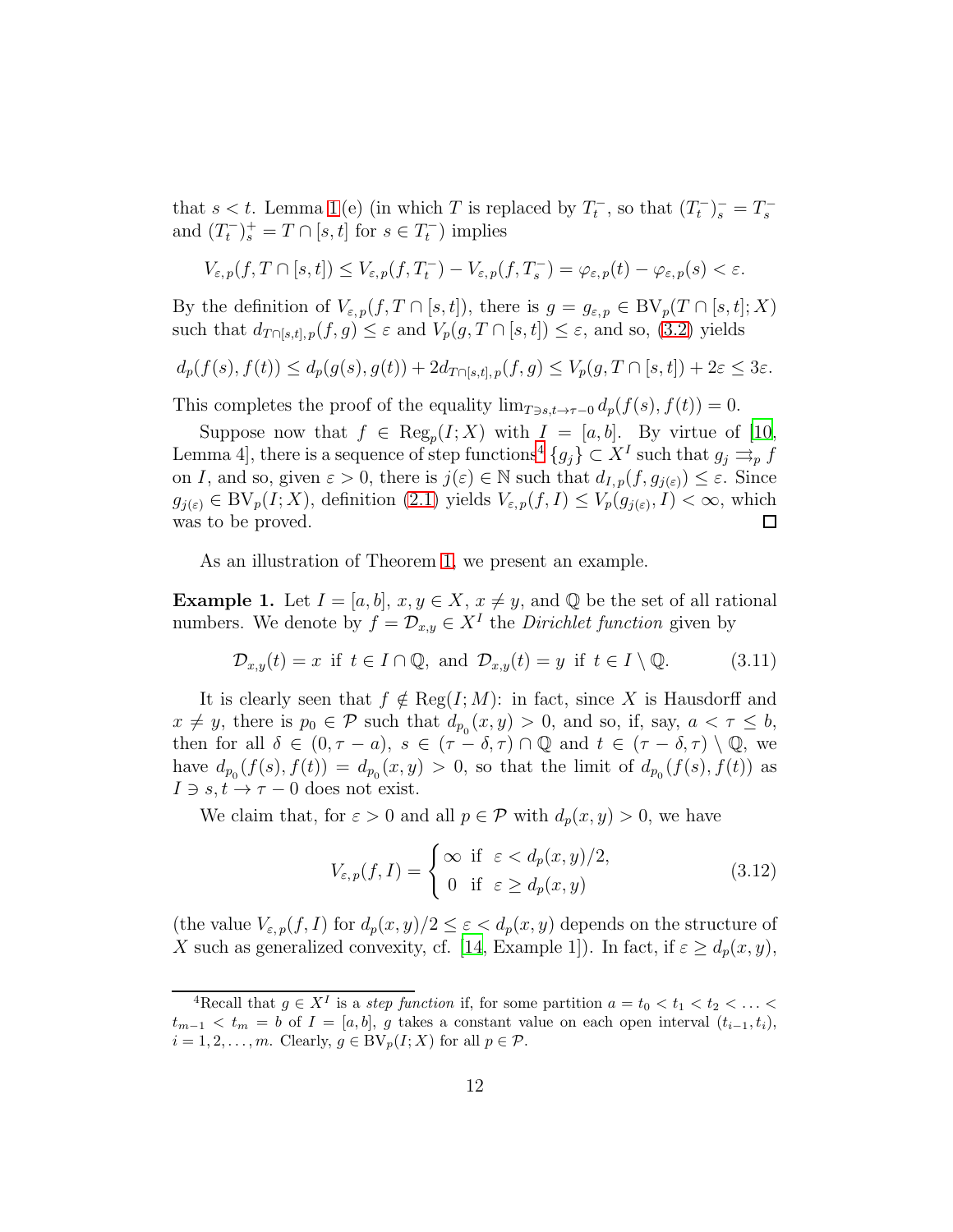that  $s < t$ . Lemma [1](#page-7-0)(e) (in which T is replaced by  $T_t^-$ , so that  $(T_t^-)_s^- = T_s^$ and  $(T_t^-)_s^+ = T \cap [s, t]$  for  $s \in T_t^-$ ) implies

$$
V_{\varepsilon,p}(f,T\cap[s,t])\leq V_{\varepsilon,p}(f,T_t^-)-V_{\varepsilon,p}(f,T_s^-)=\varphi_{\varepsilon,p}(t)-\varphi_{\varepsilon,p}(s)<\varepsilon.
$$

By the definition of  $V_{\varepsilon,p}(f,T \cap [s,t])$ , there is  $g = g_{\varepsilon,p} \in BV_p(T \cap [s,t];X)$ such that  $d_{T \cap [s,t], p}(f,g) \leq \varepsilon$  and  $V_p(g,T \cap [s,t]) \leq \varepsilon$ , and so, [\(3.2\)](#page-6-3) yields

$$
d_p(f(s), f(t)) \le d_p(g(s), g(t)) + 2d_{T \cap [s,t], p}(f, g) \le V_p(g, T \cap [s,t]) + 2\varepsilon \le 3\varepsilon.
$$

This completes the proof of the equality  $\lim_{T \ni s,t \to \tau-0} d_p(f(s), f(t)) = 0$ .

Suppose now that  $f \in \text{Reg}_p(I; X)$  with  $I = [a, b]$ . By virtue of [\[10](#page-21-9), Lemma [4](#page-11-0), there is a sequence of step functions<sup>4</sup>  ${g_j} \subset X<sup>I</sup>$  such that  $g_j \rightrightarrows_p f$ on I, and so, given  $\varepsilon > 0$ , there is  $j(\varepsilon) \in \mathbb{N}$  such that  $d_{I,p}(f, g_{j(\varepsilon)}) \leq \varepsilon$ . Since  $g_{j(\varepsilon)} \in BV_p(I;X)$ , definition  $(2.1)$  yields  $V_{\varepsilon,p}(f,I) \leq V_p(g_{j(\varepsilon)},I) < \infty$ , which was to be proved.  $\Box$ 

As an illustration of Theorem [1,](#page-5-0) we present an example.

**Example 1.** Let  $I = [a, b]$ ,  $x, y \in X$ ,  $x \neq y$ , and  $\mathbb Q$  be the set of all rational numbers. We denote by  $f = \mathcal{D}_{x,y} \in X^I$  the *Dirichlet function* given by

<span id="page-11-1"></span>
$$
\mathcal{D}_{x,y}(t) = x \text{ if } t \in I \cap \mathbb{Q}, \text{ and } \mathcal{D}_{x,y}(t) = y \text{ if } t \in I \setminus \mathbb{Q}. \tag{3.11}
$$

It is clearly seen that  $f \notin \text{Reg}(I; M)$ : in fact, since X is Hausdorff and  $x \neq y$ , there is  $p_0 \in \mathcal{P}$  such that  $d_{p_0}(x, y) > 0$ , and so, if, say,  $a < \tau \leq b$ , then for all  $\delta \in (0, \tau - a), s \in (\tau - \delta, \tau) \cap \mathbb{Q}$  and  $t \in (\tau - \delta, \tau) \setminus \mathbb{Q}$ , we have  $d_{p_0}(f(s), f(t)) = d_{p_0}(x, y) > 0$ , so that the limit of  $d_{p_0}(f(s), f(t))$  as  $I \ni s, t \to \tau - 0$  does not exist.

We claim that, for  $\varepsilon > 0$  and all  $p \in \mathcal{P}$  with  $d_p(x, y) > 0$ , we have

<span id="page-11-2"></span>
$$
V_{\varepsilon,p}(f,I) = \begin{cases} \infty & \text{if } \varepsilon < d_p(x,y)/2, \\ 0 & \text{if } \varepsilon \ge d_p(x,y) \end{cases}
$$
 (3.12)

(the value  $V_{\varepsilon,p}(f, I)$  for  $d_p(x, y)/2 \leq \varepsilon < d_p(x, y)$  depends on the structure of X such as generalized convexity, cf. [\[14](#page-22-4), Example 1]). In fact, if  $\varepsilon \geq d_p(x, y)$ ,

<span id="page-11-0"></span><sup>&</sup>lt;sup>4</sup>Recall that  $g \in X<sup>I</sup>$  is a *step function* if, for some partition  $a = t_0 < t_1 < t_2 < \ldots <$  $t_{m-1} < t_m = b$  of  $I = [a, b], g$  takes a constant value on each open interval  $(t_{i-1}, t_i)$ ,  $i = 1, 2, \ldots, m$ . Clearly,  $g \in BV_p(I; X)$  for all  $p \in \mathcal{P}$ .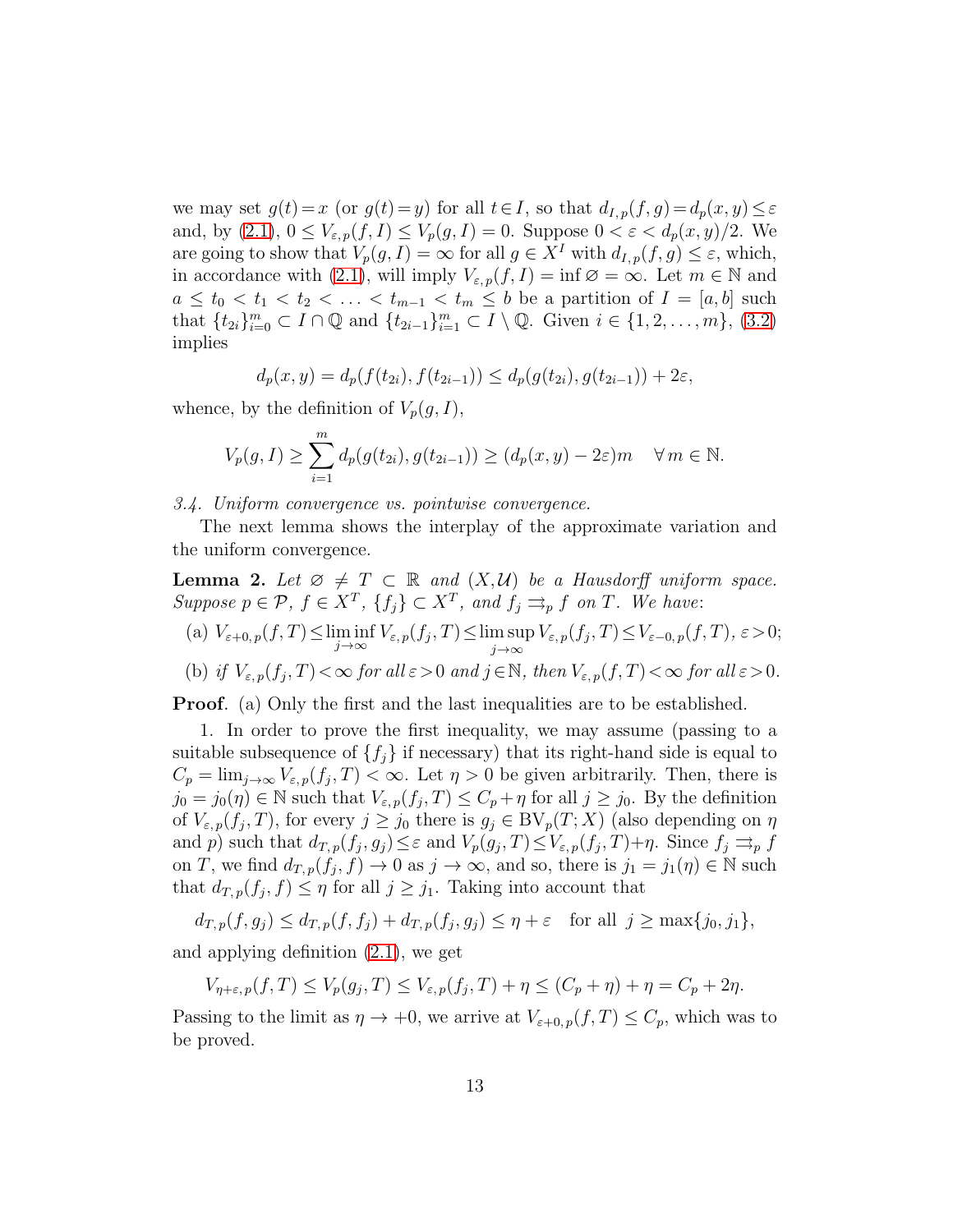we may set  $g(t) = x$  (or  $g(t) = y$ ) for all  $t \in I$ , so that  $d_{I,p}(f, g) = d_p(x, y) \leq \varepsilon$ and, by  $(2.1)$ ,  $0 \leq V_{\varepsilon,p}(f, I) \leq V_p(g, I) = 0$ . Suppose  $0 < \varepsilon < d_p(x, y)/2$ . We are going to show that  $V_p(g, I) = \infty$  for all  $g \in X^I$  with  $d_{I,p}(f, g) \leq \varepsilon$ , which, in accordance with [\(2.1\)](#page-4-0), will imply  $V_{\varepsilon,p}(f, I) = \inf \varnothing = \infty$ . Let  $m \in \mathbb{N}$  and  $a \leq t_0 < t_1 < t_2 < \ldots < t_{m-1} < t_m \leq b$  be a partition of  $I = [a, b]$  such that  $\{t_{2i}\}_{i=0}^m \subset I \cap \mathbb{Q}$  and  $\{t_{2i-1}\}_{i=1}^m \subset I \setminus \mathbb{Q}$ . Given  $i \in \{1, 2, ..., m\}$ , [\(3.2\)](#page-6-3) implies

$$
d_p(x,y) = d_p(f(t_{2i}), f(t_{2i-1})) \le d_p(g(t_{2i}), g(t_{2i-1})) + 2\varepsilon,
$$

whence, by the definition of  $V_p(g, I)$ ,

$$
V_p(g, I) \ge \sum_{i=1}^m d_p(g(t_{2i}), g(t_{2i-1})) \ge (d_p(x, y) - 2\varepsilon)m \quad \forall m \in \mathbb{N}.
$$

3.4. Uniform convergence vs. pointwise convergence.

The next lemma shows the interplay of the approximate variation and the uniform convergence.

<span id="page-12-0"></span>**Lemma 2.** Let  $\emptyset \neq T \subset \mathbb{R}$  and  $(X, \mathcal{U})$  be a Hausdorff uniform space. Suppose  $p \in \mathcal{P}, f \in X^T, \{f_j\} \subset X^T$ , and  $f_j \rightrightarrows_p f$  on T. We have:

(a) 
$$
V_{\varepsilon+0,p}(f,T) \leq \liminf_{j \to \infty} V_{\varepsilon,p}(f_j,T) \leq \limsup_{j \to \infty} V_{\varepsilon,p}(f_j,T) \leq V_{\varepsilon-0,p}(f,T), \varepsilon > 0;
$$

(b) if 
$$
V_{\varepsilon,p}(f_j,T) < \infty
$$
 for all  $\varepsilon > 0$  and  $j \in \mathbb{N}$ , then  $V_{\varepsilon,p}(f,T) < \infty$  for all  $\varepsilon > 0$ .

Proof. (a) Only the first and the last inequalities are to be established.

1. In order to prove the first inequality, we may assume (passing to a suitable subsequence of  $\{f_i\}$  if necessary) that its right-hand side is equal to  $C_p = \lim_{j \to \infty} V_{\varepsilon,p}(f_j, T) < \infty$ . Let  $\eta > 0$  be given arbitrarily. Then, there is  $j_0 = j_0(\eta) \in \mathbb{N}$  such that  $V_{\varepsilon,p}(f_j, T) \leq C_p + \eta$  for all  $j \geq j_0$ . By the definition of  $V_{\varepsilon,p}(f_j,T)$ , for every  $j \ge j_0$  there is  $g_j \in BV_p(T;X)$  (also depending on  $\eta$ and p) such that  $d_{T,p}(f_j,g_j) \leq \varepsilon$  and  $V_p(g_j,T) \leq V_{\varepsilon,p}(f_j,T) + \eta$ . Since  $f_j \rightrightarrows_p f$ on T, we find  $d_{T,p}(f_j, f) \to 0$  as  $j \to \infty$ , and so, there is  $j_1 = j_1(\eta) \in \mathbb{N}$  such that  $d_{T,p}(f_j, f) \leq \eta$  for all  $j \geq j_1$ . Taking into account that

$$
d_{T,p}(f,g_j) \leq d_{T,p}(f,f_j) + d_{T,p}(f_j,g_j) \leq \eta + \varepsilon \quad \text{for all } j \geq \max\{j_0,j_1\},
$$

and applying definition [\(2.1\)](#page-4-0), we get

 $V_{\eta+\varepsilon, p}(f,T) \leq V_p(g_j,T) \leq V_{\varepsilon, p}(f_j,T) + \eta \leq (C_p + \eta) + \eta = C_p + 2\eta.$ 

Passing to the limit as  $\eta \to +0$ , we arrive at  $V_{\varepsilon+0,p}(f,T) \leq C_p$ , which was to be proved.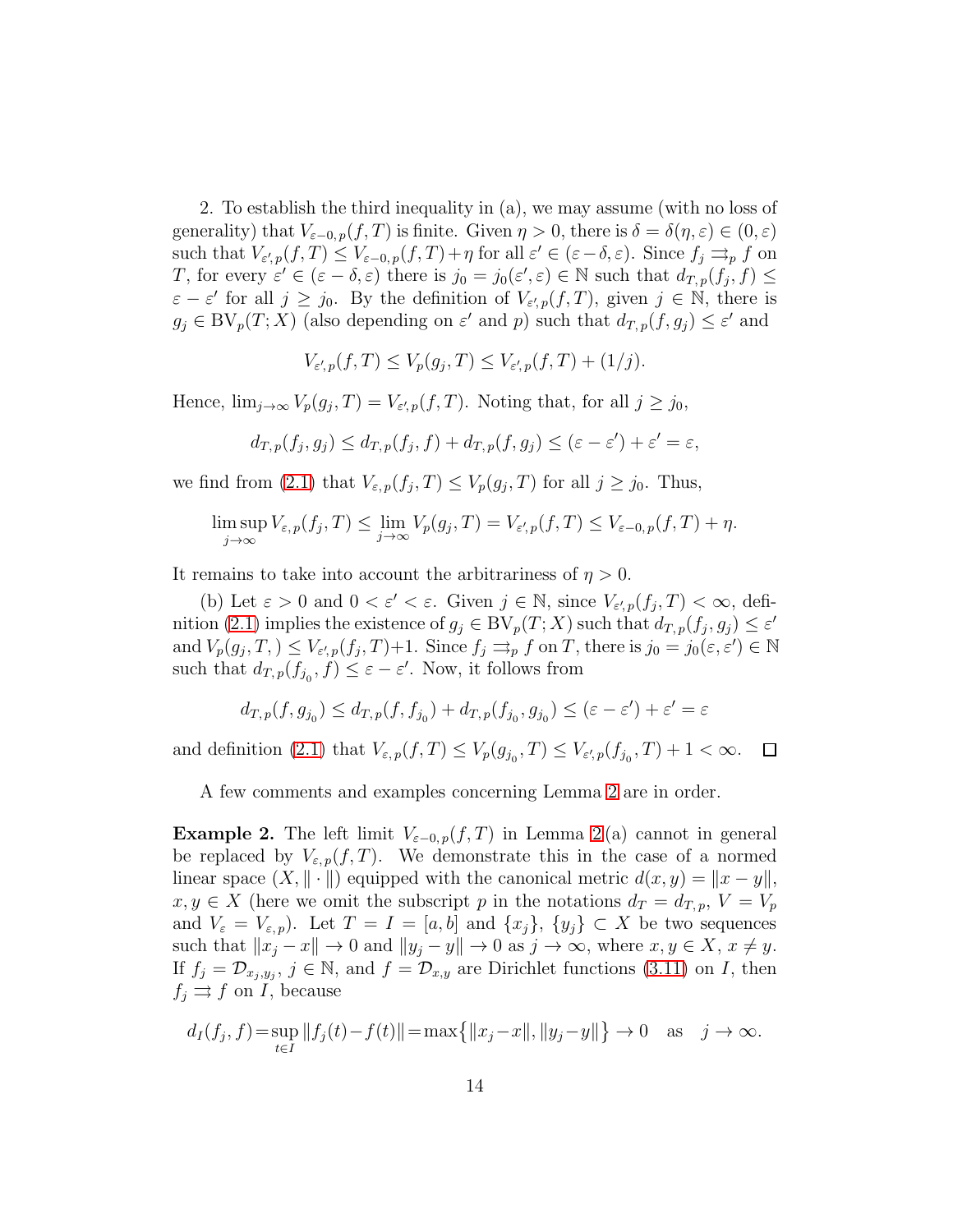2. To establish the third inequality in (a), we may assume (with no loss of generality) that  $V_{\varepsilon=0, p}(f, T)$  is finite. Given  $\eta > 0$ , there is  $\delta = \delta(\eta, \varepsilon) \in (0, \varepsilon)$ such that  $V_{\varepsilon',p}(f,T) \leq V_{\varepsilon-0,p}(f,T) + \eta$  for all  $\varepsilon' \in (\varepsilon-\delta,\varepsilon)$ . Since  $f_j \rightrightarrows_p f$  on T, for every  $\varepsilon' \in (\varepsilon - \delta, \varepsilon)$  there is  $j_0 = j_0(\varepsilon', \varepsilon) \in \mathbb{N}$  such that  $d_{T,p}(f_j, f) \leq$  $\varepsilon - \varepsilon'$  for all  $j \ge j_0$ . By the definition of  $V_{\varepsilon',p}(f,T)$ , given  $j \in \mathbb{N}$ , there is  $g_j \in BV_p(T; X)$  (also depending on  $\varepsilon'$  and p) such that  $d_{T,p}(f, g_j) \leq \varepsilon'$  and

$$
V_{\varepsilon',p}(f,T) \le V_p(g_j,T) \le V_{\varepsilon',p}(f,T) + (1/j).
$$

Hence,  $\lim_{j\to\infty} V_p(g_j,T) = V_{\varepsilon',p}(f,T)$ . Noting that, for all  $j \geq j_0$ ,

$$
d_{T,p}(f_j,g_j) \leq d_{T,p}(f_j,f) + d_{T,p}(f,g_j) \leq (\varepsilon - \varepsilon') + \varepsilon' = \varepsilon,
$$

we find from [\(2.1\)](#page-4-0) that  $V_{\varepsilon,p}(f_j,T) \leq V_p(g_j,T)$  for all  $j \geq j_0$ . Thus,

$$
\limsup_{j \to \infty} V_{\varepsilon, p}(f_j, T) \le \lim_{j \to \infty} V_p(g_j, T) = V_{\varepsilon', p}(f, T) \le V_{\varepsilon - 0, p}(f, T) + \eta.
$$

It remains to take into account the arbitrariness of  $\eta > 0$ .

(b) Let  $\varepsilon > 0$  and  $0 < \varepsilon' < \varepsilon$ . Given  $j \in \mathbb{N}$ , since  $V_{\varepsilon',p}(f_j,T) < \infty$ , defi-nition [\(2.1\)](#page-4-0) implies the existence of  $g_j \in BV_p(T; X)$  such that  $d_{T,p}(f_j, g_j) \leq \varepsilon'$ and  $V_p(g_j, T) \leq V_{\varepsilon', p}(f_j, T) + 1$ . Since  $f_j \rightrightarrows_p f$  on T, there is  $j_0 = j_0(\varepsilon, \varepsilon') \in \mathbb{N}$ such that  $d_{T,p}(f_{j_0}, f) \leq \varepsilon - \varepsilon'$ . Now, it follows from

$$
d_{T,p}(f,g_{j_0})\leq d_{T,p}(f,f_{j_0})+d_{T,p}(f_{j_0},g_{j_0})\leq (\varepsilon-\varepsilon')+ \varepsilon'=\varepsilon
$$

and definition [\(2.1\)](#page-4-0) that  $V_{\varepsilon,p}(f,T) \leq V_p(g_{j_0},T) \leq V_{\varepsilon',p}(f_{j_0},T) + 1 < \infty$ .  $\Box$ 

<span id="page-13-0"></span>A few comments and examples concerning Lemma [2](#page-12-0) are in order.

**Example [2](#page-12-0).** The left limit  $V_{\epsilon-0,p}(f,T)$  in Lemma 2(a) cannot in general be replaced by  $V_{\varepsilon,p}(f,T)$ . We demonstrate this in the case of a normed linear space  $(X, \|\cdot\|)$  equipped with the canonical metric  $d(x, y) = \|x - y\|$ ,  $x, y \in X$  (here we omit the subscript p in the notations  $d_T = d_{T,p}, V = V_p$ and  $V_{\varepsilon} = V_{\varepsilon,p}$ . Let  $T = I = [a, b]$  and  $\{x_j\}, \{y_j\} \subset X$  be two sequences such that  $||x_i - x|| \to 0$  and  $||y_i - y|| \to 0$  as  $j \to \infty$ , where  $x, y \in X$ ,  $x \neq y$ . If  $f_j = \mathcal{D}_{x_j, y_j}$ ,  $j \in \mathbb{N}$ , and  $f = \mathcal{D}_{x,y}$  are Dirichlet functions [\(3.11\)](#page-11-1) on *I*, then  $f_i \rightrightarrows f$  on *I*, because

$$
d_I(f_j, f) = \sup_{t \in I} ||f_j(t) - f(t)|| = \max\{||x_j - x||, ||y_j - y||\} \to 0 \text{ as } j \to \infty.
$$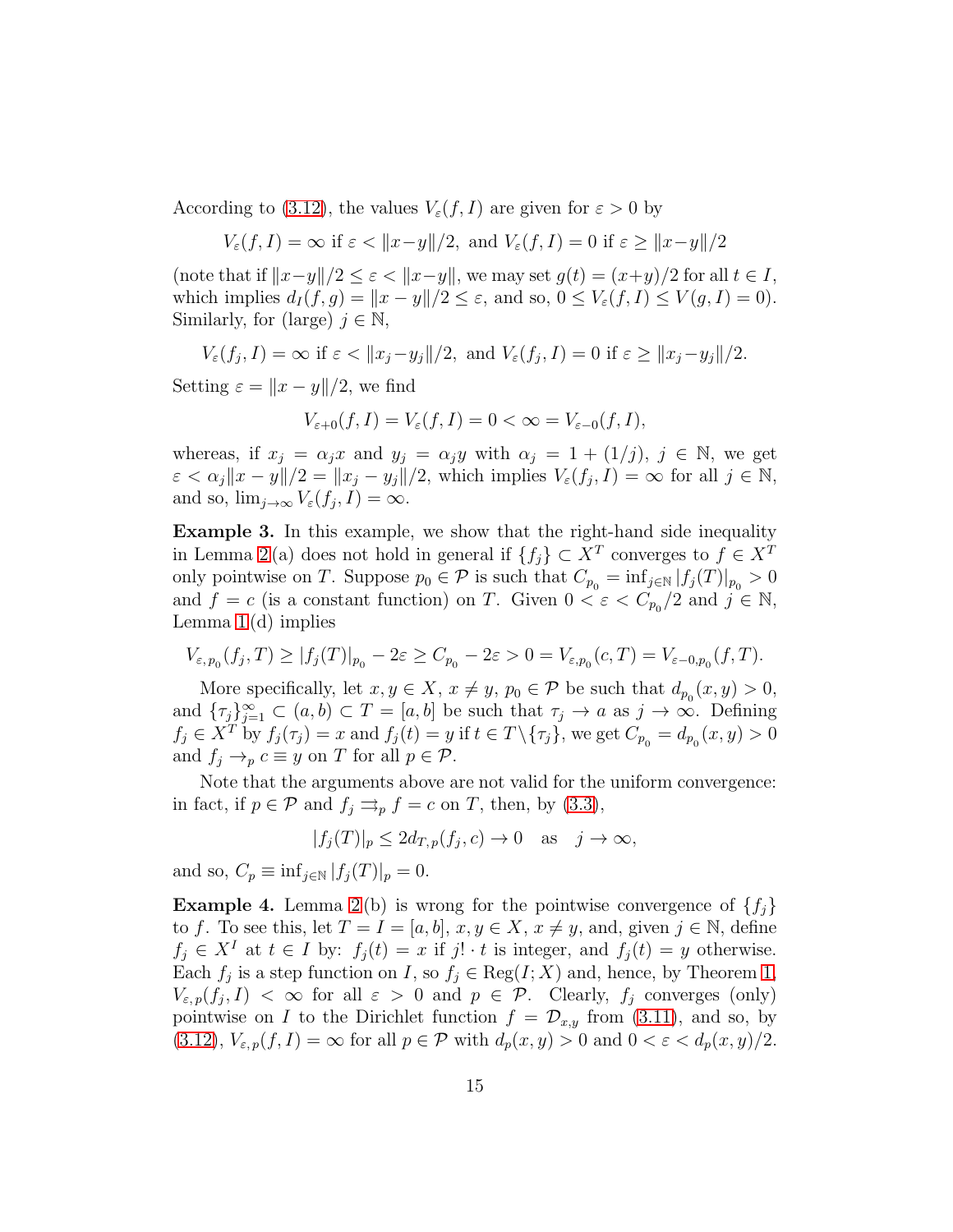According to [\(3.12\)](#page-11-2), the values  $V_{\varepsilon}(f, I)$  are given for  $\varepsilon > 0$  by

$$
V_{\varepsilon}(f, I) = \infty \text{ if } \varepsilon < \|x - y\|/2, \text{ and } V_{\varepsilon}(f, I) = 0 \text{ if } \varepsilon \ge \|x - y\|/2
$$

(note that if  $||x-y||/2 \leq \varepsilon < ||x-y||$ , we may set  $g(t) = (x+y)/2$  for all  $t \in I$ , which implies  $d_I(f, g) = ||x - y||/2 \le \varepsilon$ , and so,  $0 \le V_{\varepsilon}(f, I) \le V(g, I) = 0$ . Similarly, for (large)  $j \in \mathbb{N}$ ,

 $V_{\varepsilon}(f_j,I) = \infty$  if  $\varepsilon < ||x_j - y_j||/2$ , and  $V_{\varepsilon}(f_j,I) = 0$  if  $\varepsilon \ge ||x_j - y_j||/2$ .

Setting  $\varepsilon = ||x - y||/2$ , we find

$$
V_{\varepsilon+0}(f,I) = V_{\varepsilon}(f,I) = 0 < \infty = V_{\varepsilon-0}(f,I),
$$

whereas, if  $x_j = \alpha_j x$  and  $y_j = \alpha_j y$  with  $\alpha_j = 1 + (1/j), j \in \mathbb{N}$ , we get  $\varepsilon < \alpha_j ||x - y||/2 = ||x_j - y_j||/2$ , which implies  $V_{\varepsilon}(f_j, I) = \infty$  for all  $j \in \mathbb{N}$ , and so,  $\lim_{j\to\infty} V_{\varepsilon}(f_j,I) = \infty$ .

Example 3. In this example, we show that the right-hand side inequality in Lemma [2](#page-12-0)(a) does not hold in general if  $\{f_j\} \subset X^T$  converges to  $f \in X^T$ only pointwise on T. Suppose  $p_0 \in \mathcal{P}$  is such that  $C_{p_0} = \inf_{j \in \mathbb{N}} |f_j(T)|_{p_0} > 0$ and  $f = c$  (is a constant function) on T. Given  $0 < \varepsilon < C_{p_0}/2$  and  $j \in \mathbb{N}$ , Lemma [1](#page-7-0) (d) implies

$$
V_{\varepsilon, p_0}(f_j, T) \geq |f_j(T)|_{p_0} - 2\varepsilon \geq C_{p_0} - 2\varepsilon > 0 = V_{\varepsilon, p_0}(c, T) = V_{\varepsilon - 0, p_0}(f, T).
$$

More specifically, let  $x, y \in X$ ,  $x \neq y$ ,  $p_0 \in \mathcal{P}$  be such that  $d_{p_0}(x, y) > 0$ , and  $\{\tau_j\}_{j=1}^{\infty} \subset (a, b) \subset T = [a, b]$  be such that  $\tau_j \to a$  as  $j \to \infty$ . Defining  $f_j \in X^T$  by  $f_j(\tau_j) = x$  and  $f_j(t) = y$  if  $t \in T \setminus {\tau_j}$ , we get  $C_{p_0} = d_{p_0}(x, y) > 0$ and  $f_j \rightarrow_p c \equiv y$  on T for all  $p \in \mathcal{P}$ .

Note that the arguments above are not valid for the uniform convergence: in fact, if  $p \in \mathcal{P}$  and  $f_j \rightrightarrows_p f = c$  on T, then, by [\(3.3\)](#page-6-5),

$$
|f_j(T)|_p \le 2d_{T,p}(f_j, c) \to 0 \quad \text{as} \quad j \to \infty,
$$

<span id="page-14-0"></span>and so,  $C_p \equiv \inf_{j \in \mathbb{N}} |f_j(T)|_p = 0.$ 

**Example 4.** Lemma [2](#page-12-0)(b) is wrong for the pointwise convergence of  $\{f_i\}$ to f. To see this, let  $T = I = [a, b], x, y \in X, x \neq y$ , and, given  $j \in \mathbb{N}$ , define  $f_j \in X^I$  at  $t \in I$  by:  $f_j(t) = x$  if  $j! \cdot t$  is integer, and  $f_j(t) = y$  otherwise. Each  $f_j$  is a step function on I, so  $f_j \in \text{Reg}(I;X)$  and, hence, by Theorem [1,](#page-5-0)  $V_{\varepsilon,p}(f_j,I) < \infty$  for all  $\varepsilon > 0$  and  $p \in \mathcal{P}$ . Clearly,  $f_j$  converges (only) pointwise on I to the Dirichlet function  $f = \mathcal{D}_{x,y}$  from [\(3.11\)](#page-11-1), and so, by [\(3.12\)](#page-11-2),  $V_{\varepsilon,p}(f, I) = \infty$  for all  $p \in \mathcal{P}$  with  $d_p(x, y) > 0$  and  $0 < \varepsilon < d_p(x, y)/2$ .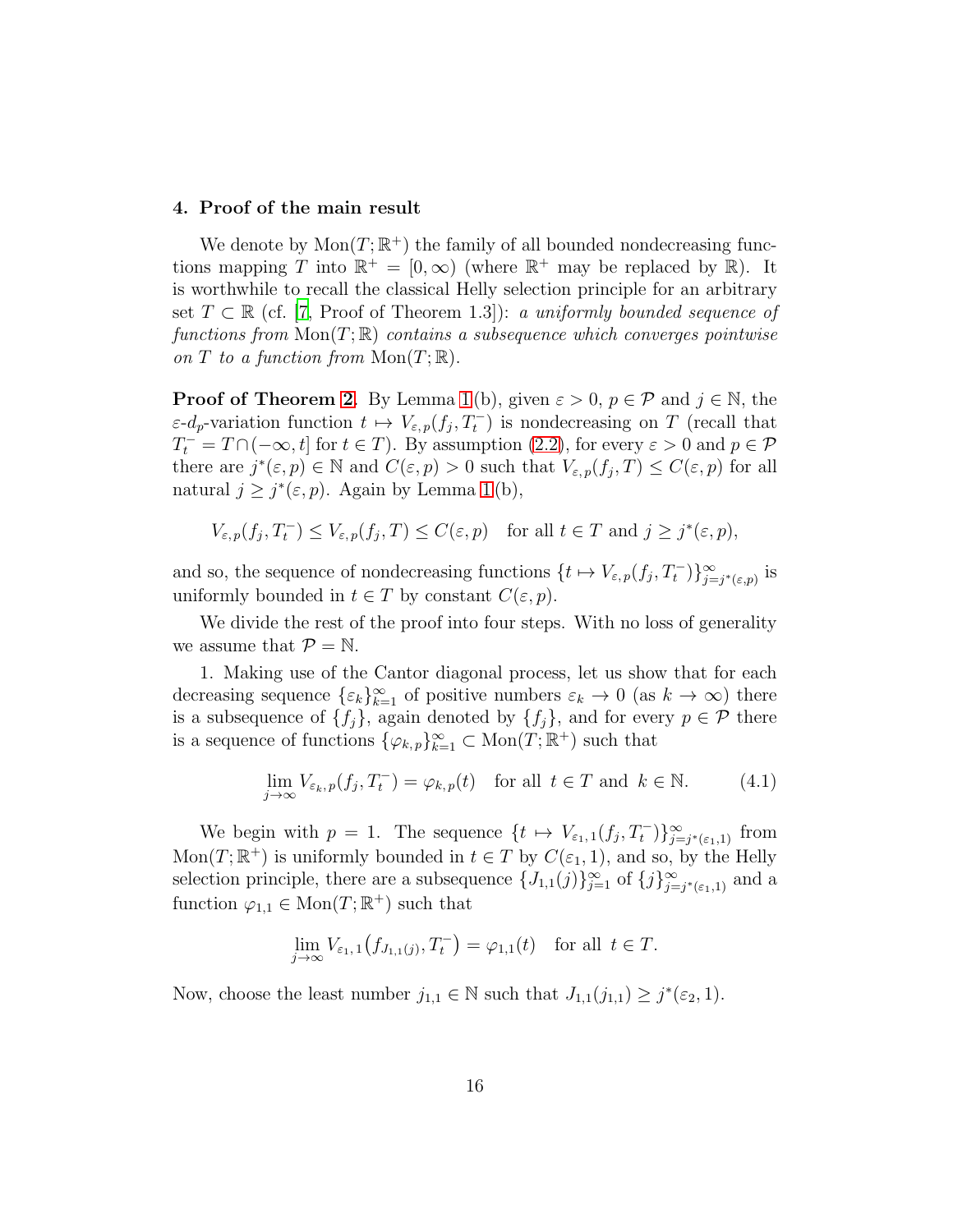#### <span id="page-15-0"></span>4. Proof of the main result

We denote by  $Mon(T; \mathbb{R}^+)$  the family of all bounded nondecreasing functions mapping T into  $\mathbb{R}^+ = [0, \infty)$  (where  $\mathbb{R}^+$  may be replaced by  $\mathbb{R}$ ). It is worthwhile to recall the classical Helly selection principle for an arbitrary set  $T \subset \mathbb{R}$  (cf. [\[7,](#page-21-1) Proof of Theorem 1.3]): a uniformly bounded sequence of functions from  $Mon(T;\mathbb{R})$  contains a subsequence which converges pointwise on T to a function from  $Mon(T;\mathbb{R})$ .

**Proof of Theorem [2](#page-6-0).** By Lemma [1](#page-7-0) (b), given  $\varepsilon > 0$ ,  $p \in \mathcal{P}$  and  $j \in \mathbb{N}$ , the  $\varepsilon$ -d<sub>p</sub>-variation function  $t \mapsto V_{\varepsilon,p}(f_j,T_t^-)$  is nondecreasing on T (recall that  $T_t^- = T \cap (-\infty, t]$  for  $t \in T$ ). By assumption [\(2.2\)](#page-6-2), for every  $\varepsilon > 0$  and  $p \in \mathcal{P}$ there are  $j^*(\varepsilon, p) \in \mathbb{N}$  and  $C(\varepsilon, p) > 0$  such that  $V_{\varepsilon, p}(f_j, T) \leq C(\varepsilon, p)$  for all natural  $j \geq j^*(\varepsilon, p)$ . Again by Lemma [1](#page-7-0)(b),

$$
V_{\varepsilon,p}(f_j,T_t^-) \le V_{\varepsilon,p}(f_j,T) \le C(\varepsilon,p) \quad \text{for all } t \in T \text{ and } j \ge j^*(\varepsilon,p),
$$

and so, the sequence of nondecreasing functions  $\{t \mapsto V_{\varepsilon,p}(f_j, T_t^{-})\}_{j=1}^{\infty}$  $\sum_{j=j^*(\varepsilon,p)}$  is uniformly bounded in  $t \in T$  by constant  $C(\varepsilon, p)$ .

We divide the rest of the proof into four steps. With no loss of generality we assume that  $\mathcal{P} = \mathbb{N}$ .

1. Making use of the Cantor diagonal process, let us show that for each decreasing sequence  $\{\varepsilon_k\}_{k=1}^{\infty}$  of positive numbers  $\varepsilon_k \to 0$  (as  $k \to \infty$ ) there is a subsequence of  $\{f_j\}$ , again denoted by  $\{f_j\}$ , and for every  $p \in \mathcal{P}$  there is a sequence of functions  $\{\varphi_{k,p}\}_{k=1}^{\infty} \subset \text{Mon}(T;\mathbb{R}^+)$  such that

<span id="page-15-1"></span>
$$
\lim_{j \to \infty} V_{\varepsilon_k, p}(f_j, T_t^-) = \varphi_{k, p}(t) \quad \text{for all } t \in T \text{ and } k \in \mathbb{N}.
$$
 (4.1)

We begin with  $p = 1$ . The sequence  $\{t \mapsto V_{\varepsilon_1,1}(f_j,T_t^-)\}_{j=1}^{\infty}$  $\sum_{j=j^*(\varepsilon_1,1)}^{\infty}$  from  $Mon(T; \mathbb{R}^+)$  is uniformly bounded in  $t \in T$  by  $C(\varepsilon_1, 1)$ , and so, by the Helly selection principle, there are a subsequence  $\{J_{1,1}(j)\}_{j=1}^{\infty}$  of  $\{j\}_{j=1}^{\infty}$  $\sum_{j=j^*(\varepsilon_1,1)}^{\infty}$  and a function  $\varphi_{1,1} \in \text{Mon}(T;\mathbb{R}^+)$  such that

$$
\lim_{j \to \infty} V_{\varepsilon_1, 1}(f_{J_{1,1}(j)}, T_t^-) = \varphi_{1,1}(t) \text{ for all } t \in T.
$$

Now, choose the least number  $j_{1,1} \in \mathbb{N}$  such that  $J_{1,1}(j_{1,1}) \geq j^*(\varepsilon_2, 1)$ .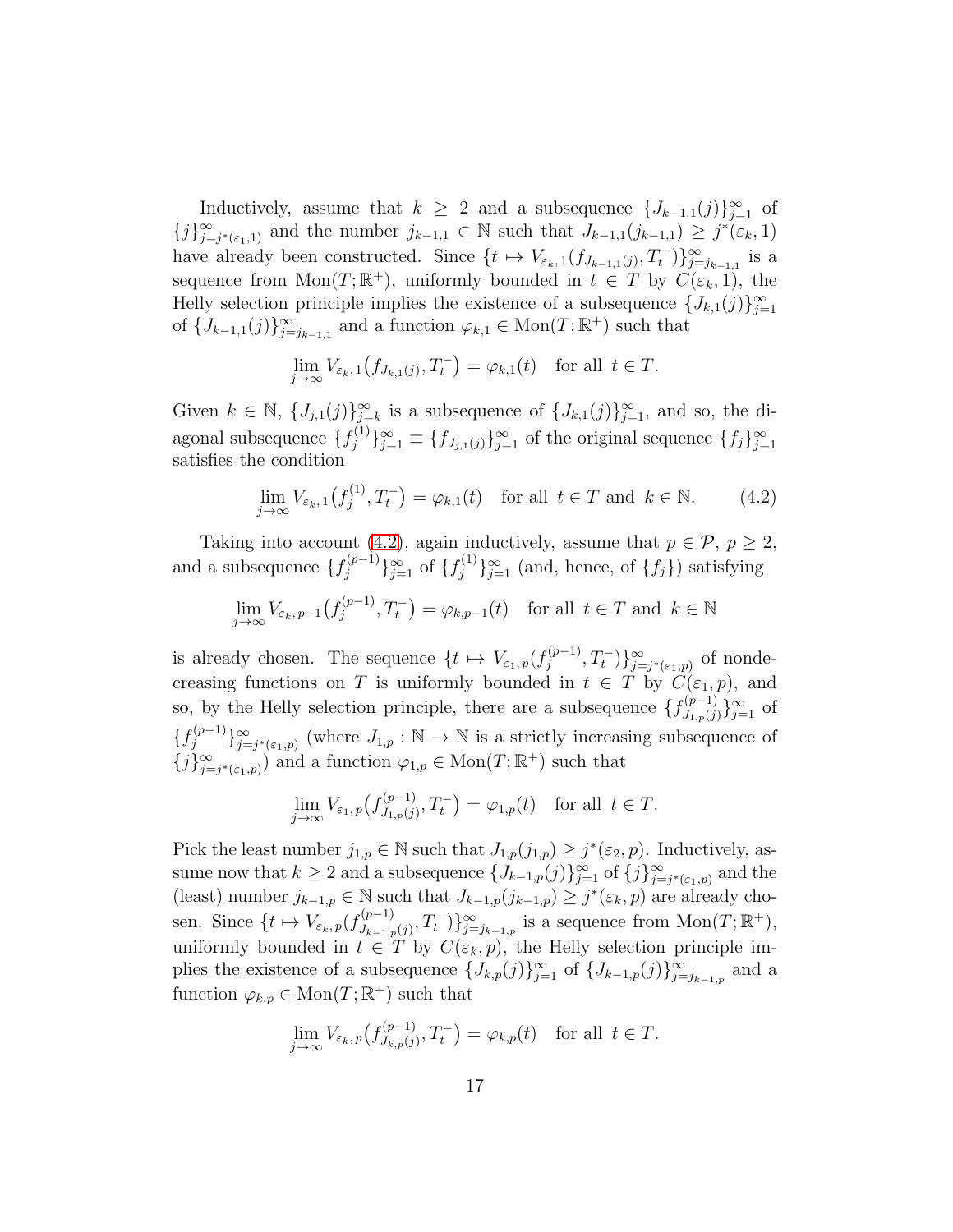Inductively, assume that  $k \geq 2$  and a subsequence  $\{J_{k-1,1}(j)\}_{j=1}^{\infty}$  of  ${j}_{i=0}^{\infty}$  $\sum_{j=j^*(\varepsilon_1,1)}^{\infty}$  and the number  $j_{k-1,1} \in \mathbb{N}$  such that  $J_{k-1,1}(j_{k-1,1}) \geq j^*(\varepsilon_k,1)$ have already been constructed. Since  $\{t \mapsto V_{\varepsilon_k,1}(f_{J_{k-1,1}(j)},T_t^{\scriptscriptstyle{-}})\}_{j=j_{k-1,1}}^{\infty}$  is a sequence from  $\text{Mon}(T;\mathbb{R}^+)$ , uniformly bounded in  $t \in T$  by  $C(\varepsilon_k, 1)$ , the Helly selection principle implies the existence of a subsequence  $\{J_{k,1}(j)\}_{j=1}^{\infty}$ of  $\{J_{k-1,1}(j)\}_{j=j_{k-1,1}}^{\infty}$  and a function  $\varphi_{k,1} \in \text{Mon}(T;\mathbb{R}^+)$  such that

$$
\lim_{j \to \infty} V_{\varepsilon_k, 1}(f_{J_{k,1}(j)}, T_t^-) = \varphi_{k,1}(t) \text{ for all } t \in T.
$$

Given  $k \in \mathbb{N}$ ,  $\{J_{j,1}(j)\}_{j=k}^{\infty}$  is a subsequence of  $\{J_{k,1}(j)\}_{j=1}^{\infty}$ , and so, the diagonal subsequence  $\{f_i^{(1)}\}$  ${j<sup>(1)</sup> \atop j} \}_{j=1}^{\infty} \equiv \{f_{J_{j,1}(j)}\}_{j=1}^{\infty}$  of the original sequence  $\{f_j\}_{j=1}^{\infty}$ satisfies the condition

<span id="page-16-0"></span>
$$
\lim_{j \to \infty} V_{\varepsilon_k, 1}(f_j^{(1)}, T_t^-) = \varphi_{k, 1}(t) \quad \text{for all } t \in T \text{ and } k \in \mathbb{N}.
$$
 (4.2)

Taking into account [\(4.2\)](#page-16-0), again inductively, assume that  $p \in \mathcal{P}$ ,  $p \geq 2$ , and a subsequence  $\{f_i^{(p-1)}\}$  $\{f_j^{(p-1)}\}_{j=1}^{\infty}$  of  $\{f_j^{(1)}\}$  ${j<sup>(1)</sup> \atop j}$  { $j<sup>(1)</sup>$ } at is fying

$$
\lim_{j \to \infty} V_{\varepsilon_k, p-1}(f_j^{(p-1)}, T_t^-) = \varphi_{k, p-1}(t) \text{ for all } t \in T \text{ and } k \in \mathbb{N}
$$

is already chosen. The sequence  $\{t \mapsto V_{\varepsilon_1,p}(f_j^{(p-1)})\}$  $\{g^{(p-1)}, T_t^-\}$  $\sum_{j=j^*(\varepsilon_1,p)}^{\infty}$  of nondecreasing functions on T is uniformly bounded in  $t \in T$  by  $C(\varepsilon_1, p)$ , and so, by the Helly selection principle, there are a subsequence  $\{f_{j_1,\zeta(i)}^{(p-1)}\}$  $\{y_{1,p}(j)\}_{j=1}^{\infty}$  of  $\{f_i^{(p-1)}\}$  $\{y^{(p-1)}\}_{j=1}^{\infty}$  $\sum_{j=j^*(\varepsilon_1,p)}^{\infty}$  (where  $J_{1,p}: \mathbb{N} \to \mathbb{N}$  is a strictly increasing subsequence of  ${j}_{i=0}^{\infty}$  $(\sum_{j=j^*(\varepsilon_1,p)}^{\infty})$  and a function  $\varphi_{1,p} \in \text{Mon}(T;\mathbb{R}^+)$  such that

$$
\lim_{j \to \infty} V_{\varepsilon_1, p}(f_{J_{1, p}(j)}^{(p-1)}, T_t^-) = \varphi_{1, p}(t) \text{ for all } t \in T.
$$

Pick the least number  $j_{1,p} \in \mathbb{N}$  such that  $J_{1,p}(j_{1,p}) \geq j^*(\varepsilon_2, p)$ . Inductively, assume now that  $k \geq 2$  and a subsequence  $\{J_{k-1,p}(j)\}_{j=1}^{\infty}$  of  $\{j\}_{j=1}^{\infty}$  $\sum_{j=j^*(\varepsilon_1,p)}^{\infty}$  and the (least) number  $j_{k-1,p} \in \mathbb{N}$  such that  $J_{k-1,p}(j_{k-1,p}) \geq j^*(\varepsilon_k, p)$  are already chosen. Since  $\{t \mapsto V_{\varepsilon_k, p}(f_{J_{k-1}, p}^{(p-1)})\}$  $J_{k-1,p}(j), T_t^{-}$   $\}$ <sub> $j=<sub>j<sub>k-1,p</sub></sub>$  is a sequence from  $\text{Mon}(T;\mathbb{R}^+),$ </sub> uniformly bounded in  $t \in \tilde{T}$  by  $C(\varepsilon_k, p)$ , the Helly selection principle implies the existence of a subsequence  $\{J_{k,p}(j)\}_{j=1}^{\infty}$  of  $\{J_{k-1,p}(j)\}_{j=j_{k-1,p}}^{\infty}$  and a function  $\varphi_{k,p} \in \text{Mon}(T;\mathbb{R}^+)$  such that

$$
\lim_{j \to \infty} V_{\varepsilon_k, p}(f_{J_{k,p}(j)}^{(p-1)}, T_t^-) = \varphi_{k,p}(t) \text{ for all } t \in T.
$$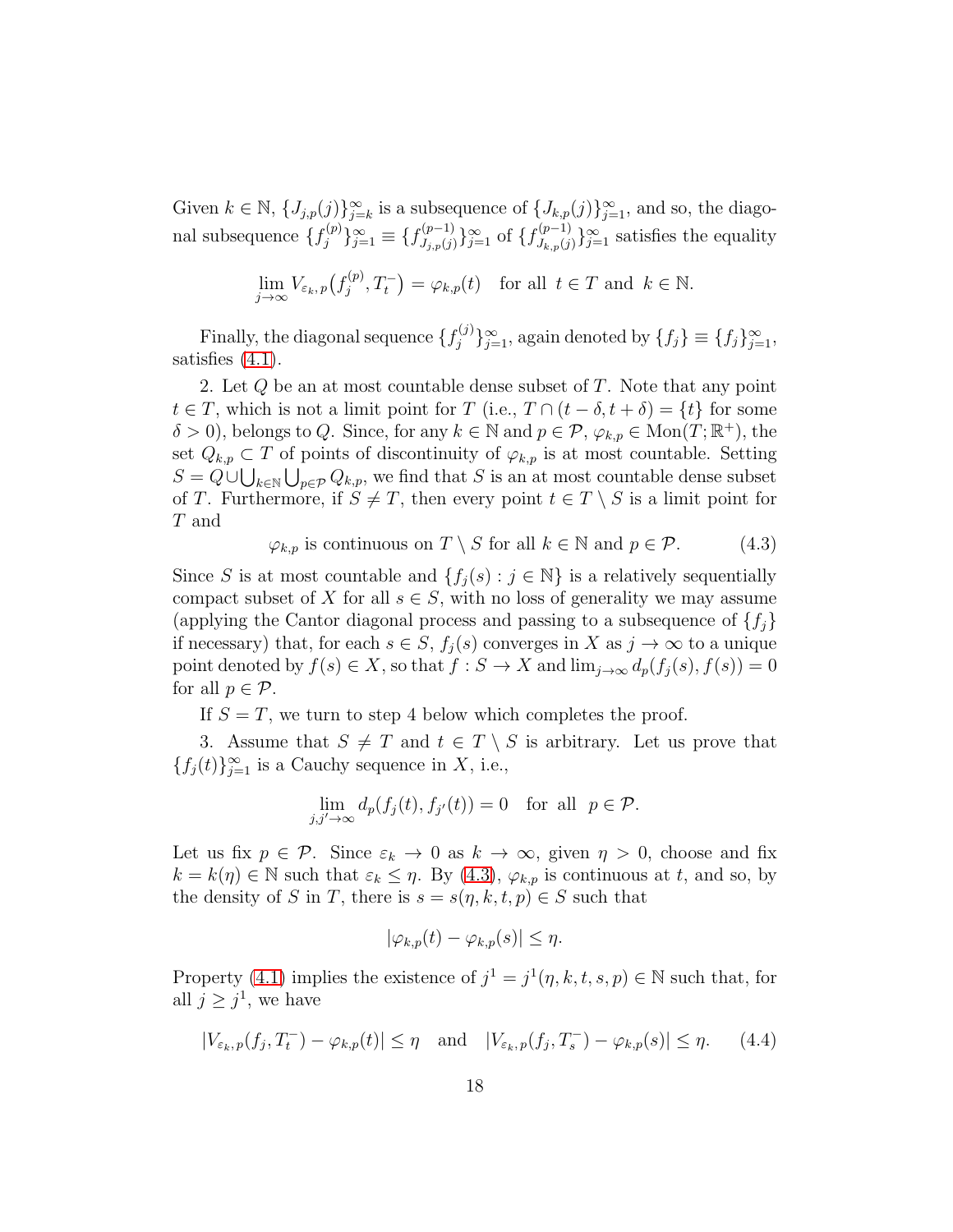Given  $k \in \mathbb{N}$ ,  $\{J_{j,p}(j)\}_{j=k}^{\infty}$  is a subsequence of  $\{J_{k,p}(j)\}_{j=1}^{\infty}$ , and so, the diagonal subsequence  $\{f_i^{(p)}\}$  ${f^{(p)}_j}_{j=1}^{\infty} \equiv \{f^{(p-1)}_{J_{i,p}(j)}\}$  $\{f_{J_{k,p}(j)}^{(p-1)}\}_{j=1}^{\infty}$  of  $\{f_{J_{k,p}(j)}^{(p-1)}\}$  $\{U_{k,p}(j)\}_{j=1}^{\infty}$  satisfies the equality

$$
\lim_{j \to \infty} V_{\varepsilon_k, p}(f_j^{(p)}, T_t^-) = \varphi_{k, p}(t) \quad \text{for all } t \in T \text{ and } k \in \mathbb{N}.
$$

Finally, the diagonal sequence  $\{f_i^{(j)}\}$  ${j(j) \atop j} \}_{j=1}^{\infty}$ , again denoted by  ${f_j} \equiv {f_j}_{j=1}^{\infty}$ , satisfies  $(4.1)$ .

2. Let Q be an at most countable dense subset of T. Note that any point  $t \in T$ , which is not a limit point for T (i.e.,  $T \cap (t - \delta, t + \delta) = \{t\}$  for some  $\delta > 0$ , belongs to Q. Since, for any  $k \in \mathbb{N}$  and  $p \in \mathcal{P}, \varphi_{k,p} \in \text{Mon}(T;\mathbb{R}^+),$  the set  $Q_{k,p} \subset T$  of points of discontinuity of  $\varphi_{k,p}$  is at most countable. Setting  $S = Q \cup \bigcup_{k \in \mathbb{N}} \bigcup_{p \in \mathcal{P}} Q_{k,p}$ , we find that S is an at most countable dense subset of T. Furthermore, if  $S \neq T$ , then every point  $t \in T \setminus S$  is a limit point for T and

<span id="page-17-0"></span> $\varphi_{k,p}$  is continuous on  $T \setminus S$  for all  $k \in \mathbb{N}$  and  $p \in \mathcal{P}$ . (4.3)

Since S is at most countable and  $\{f_j(s) : j \in \mathbb{N}\}\$ is a relatively sequentially compact subset of X for all  $s \in S$ , with no loss of generality we may assume (applying the Cantor diagonal process and passing to a subsequence of  $\{f_i\}$ if necessary) that, for each  $s \in S$ ,  $f_j(s)$  converges in X as  $j \to \infty$  to a unique point denoted by  $f(s) \in X$ , so that  $f : S \to X$  and  $\lim_{j\to\infty} d_p(f_i(s), f(s)) = 0$ for all  $p \in \mathcal{P}$ .

If  $S = T$ , we turn to step 4 below which completes the proof.

3. Assume that  $S \neq T$  and  $t \in T \setminus S$  is arbitrary. Let us prove that  ${f_j(t)}_{j=1}^{\infty}$  is a Cauchy sequence in X, i.e.,

$$
\lim_{j,j'\to\infty} d_p(f_j(t), f_{j'}(t)) = 0 \text{ for all } p \in \mathcal{P}.
$$

Let us fix  $p \in \mathcal{P}$ . Since  $\varepsilon_k \to 0$  as  $k \to \infty$ , given  $\eta > 0$ , choose and fix  $k = k(\eta) \in \mathbb{N}$  such that  $\varepsilon_k \leq \eta$ . By [\(4.3\)](#page-17-0),  $\varphi_{k,p}$  is continuous at t, and so, by the density of S in T, there is  $s = s(\eta, k, t, p) \in S$  such that

$$
|\varphi_{k,p}(t) - \varphi_{k,p}(s)| \le \eta.
$$

Property [\(4.1\)](#page-15-1) implies the existence of  $j^1 = j^1(\eta, k, t, s, p) \in \mathbb{N}$  such that, for all  $j \geq j^1$ , we have

<span id="page-17-1"></span>
$$
|V_{\varepsilon_k, p}(f_j, T_t^-) - \varphi_{k, p}(t)| \le \eta \quad \text{and} \quad |V_{\varepsilon_k, p}(f_j, T_s^-) - \varphi_{k, p}(s)| \le \eta. \tag{4.4}
$$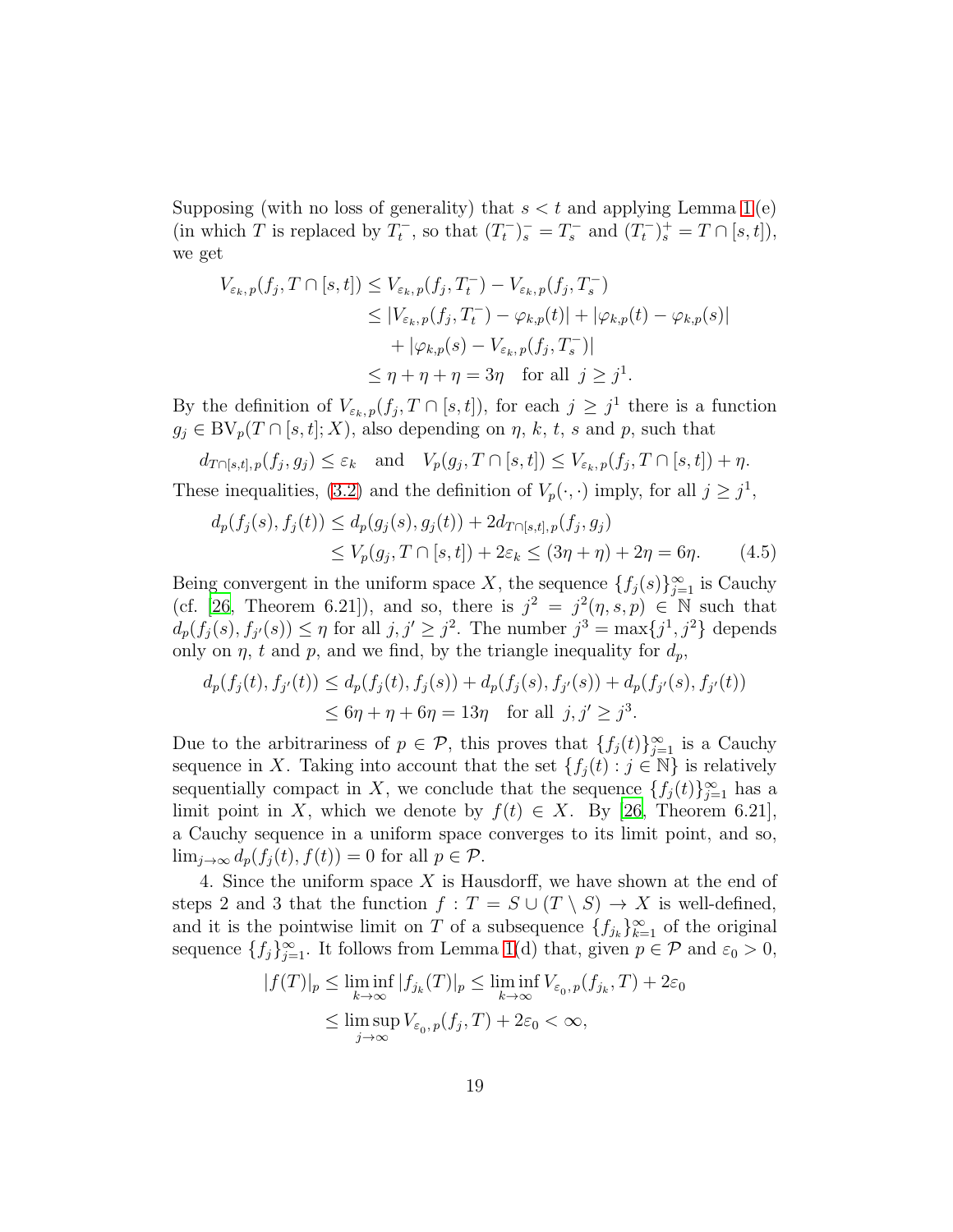Supposing (with no loss of generality) that  $s < t$  and applying Lemma [1](#page-7-0)(e) (in which T is replaced by  $T_t^-$ , so that  $(T_t^-)_s^- = T_s^-$  and  $(T_t^-)_s^+ = T \cap [s, t]$ ), we get

$$
V_{\varepsilon_k, p}(f_j, T \cap [s, t]) \le V_{\varepsilon_k, p}(f_j, T_t^-) - V_{\varepsilon_k, p}(f_j, T_s^-)
$$
  
\n
$$
\le |V_{\varepsilon_k, p}(f_j, T_t^-) - \varphi_{k, p}(t)| + |\varphi_{k, p}(t) - \varphi_{k, p}(s)|
$$
  
\n
$$
+ |\varphi_{k, p}(s) - V_{\varepsilon_k, p}(f_j, T_s^-)|
$$
  
\n
$$
\le \eta + \eta + \eta = 3\eta \quad \text{for all } j \ge j^1.
$$

By the definition of  $V_{\varepsilon_k, p}(f_j, T \cap [s, t])$ , for each  $j \geq j^1$  there is a function  $g_j \in BV_p(T \cap [s, t]; X)$ , also depending on  $\eta$ , k, t, s and p, such that

$$
d_{T\cap[s,t],p}(f_j,g_j) \leq \varepsilon_k
$$
 and  $V_p(g_j,T\cap[s,t]) \leq V_{\varepsilon_k,p}(f_j,T\cap[s,t]) + \eta$ .

These inequalities, [\(3.2\)](#page-6-3) and the definition of  $V_p(\cdot, \cdot)$  imply, for all  $j \geq j^1$ ,

<span id="page-18-0"></span>
$$
d_p(f_j(s), f_j(t)) \le d_p(g_j(s), g_j(t)) + 2d_{T \cap [s,t], p}(f_j, g_j)
$$
  
\n
$$
\le V_p(g_j, T \cap [s,t]) + 2\varepsilon_k \le (3\eta + \eta) + 2\eta = 6\eta.
$$
 (4.5)

Being convergent in the uniform space X, the sequence  $\{f_j(s)\}_{j=1}^{\infty}$  is Cauchy (cf. [\[26,](#page-22-3) Theorem 6.21]), and so, there is  $j^2 = j^2(\eta, s, p) \in \mathbb{N}$  such that  $d_p(f_j(s), f_{j'}(s)) \leq \eta$  for all  $j, j' \geq j^2$ . The number  $j^3 = \max\{j^1, j^2\}$  depends only on  $\eta$ , t and p, and we find, by the triangle inequality for  $d_p$ ,

$$
d_p(f_j(t), f_{j'}(t)) \le d_p(f_j(t), f_j(s)) + d_p(f_j(s), f_{j'}(s)) + d_p(f_{j'}(s), f_{j'}(t))
$$
  
 
$$
\le 6\eta + \eta + 6\eta = 13\eta \text{ for all } j, j' \ge j^3.
$$

Due to the arbitrariness of  $p \in \mathcal{P}$ , this proves that  $\{f_j(t)\}_{j=1}^{\infty}$  is a Cauchy sequence in X. Taking into account that the set  $\{f_j(t) : j \in \mathbb{N}\}\$ is relatively sequentially compact in X, we conclude that the sequence  $\{f_j(t)\}_{j=1}^{\infty}$  has a limit point in X, which we denote by  $f(t) \in X$ . By [\[26,](#page-22-3) Theorem 6.21], a Cauchy sequence in a uniform space converges to its limit point, and so,  $\lim_{j\to\infty} d_p(f_i(t), f(t)) = 0$  for all  $p \in \mathcal{P}$ .

4. Since the uniform space X is Hausdorff, we have shown at the end of steps 2 and 3 that the function  $f : T = S \cup (T \setminus S) \rightarrow X$  is well-defined, and it is the pointwise limit on T of a subsequence  $\{f_{j_k}\}_{k=1}^{\infty}$  of the original sequence  $\{f_j\}_{j=1}^{\infty}$ . It follows from Lemma [1\(](#page-7-0)d) that, given  $p \in \mathcal{P}$  and  $\varepsilon_0 > 0$ ,

$$
|f(T)|_p \le \liminf_{k \to \infty} |f_{j_k}(T)|_p \le \liminf_{k \to \infty} V_{\varepsilon_0, p}(f_{j_k}, T) + 2\varepsilon_0
$$
  

$$
\le \limsup_{j \to \infty} V_{\varepsilon_0, p}(f_j, T) + 2\varepsilon_0 < \infty,
$$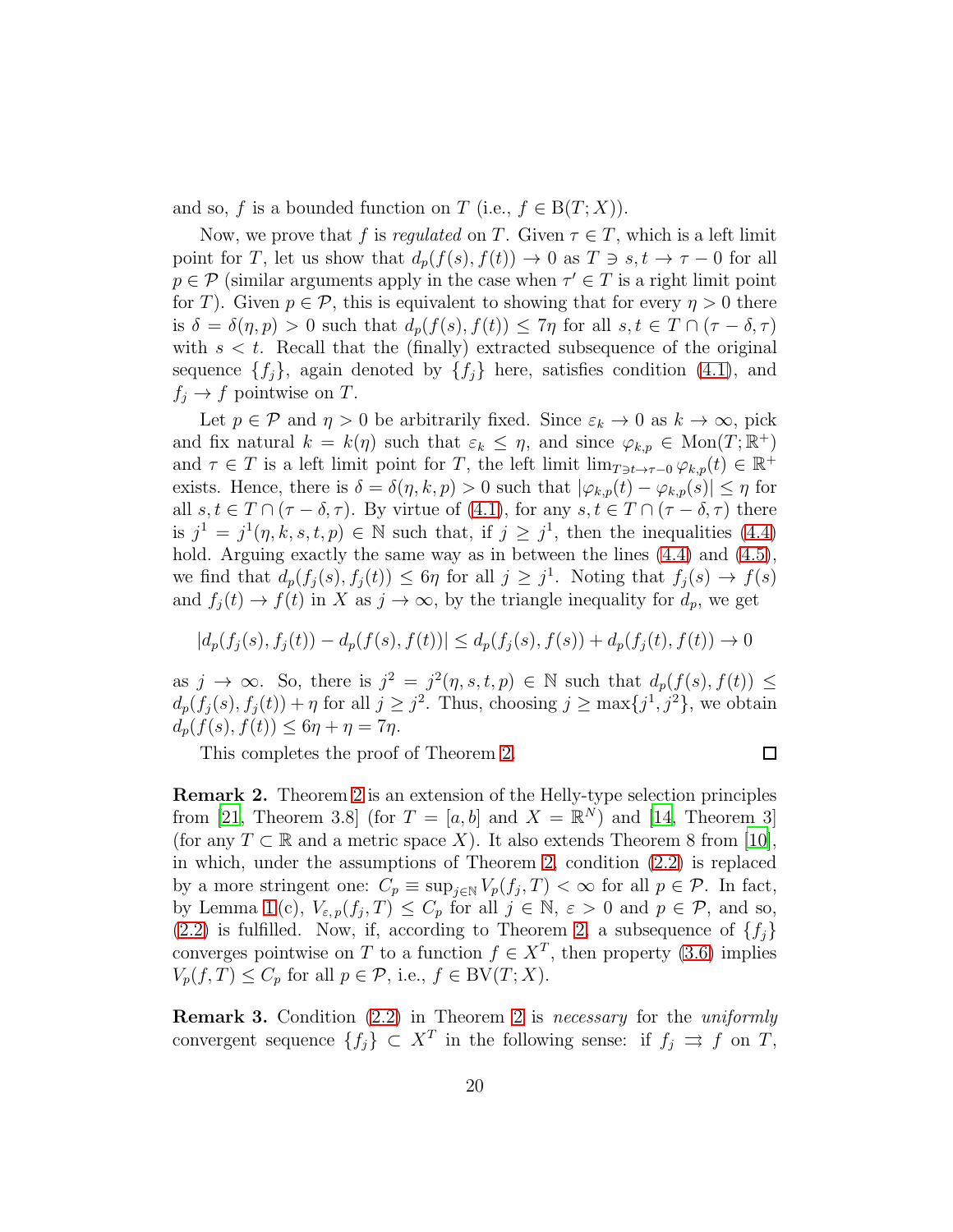and so, f is a bounded function on T (i.e.,  $f \in B(T; X)$ ).

Now, we prove that f is regulated on T. Given  $\tau \in T$ , which is a left limit point for T, let us show that  $d_p(f(s), f(t)) \to 0$  as  $T \ni s, t \to \tau - 0$  for all  $p \in \mathcal{P}$  (similar arguments apply in the case when  $\tau' \in T$  is a right limit point for T). Given  $p \in \mathcal{P}$ , this is equivalent to showing that for every  $\eta > 0$  there is  $\delta = \delta(\eta, p) > 0$  such that  $d_p(f(s), f(t)) \leq 7\eta$  for all  $s, t \in T \cap (\tau - \delta, \tau)$ with  $s < t$ . Recall that the (finally) extracted subsequence of the original sequence  $\{f_i\}$ , again denoted by  $\{f_i\}$  here, satisfies condition [\(4.1\)](#page-15-1), and  $f_i \rightarrow f$  pointwise on T.

Let  $p \in \mathcal{P}$  and  $\eta > 0$  be arbitrarily fixed. Since  $\varepsilon_k \to 0$  as  $k \to \infty$ , pick and fix natural  $k = k(\eta)$  such that  $\varepsilon_k \leq \eta$ , and since  $\varphi_{k,p} \in \text{Mon}(T;\mathbb{R}^+)$ and  $\tau \in T$  is a left limit point for T, the left limit  $\lim_{T \ni t \to \tau-0} \varphi_{k,p}(t) \in \mathbb{R}^+$ exists. Hence, there is  $\delta = \delta(\eta, k, p) > 0$  such that  $|\varphi_{k,p}(t) - \varphi_{k,p}(s)| \leq \eta$  for all  $s, t \in T \cap (\tau - \delta, \tau)$ . By virtue of [\(4.1\)](#page-15-1), for any  $s, t \in T \cap (\tau - \delta, \tau)$  there is  $j^1 = j^1(\eta, k, s, t, p) \in \mathbb{N}$  such that, if  $j \geq j^1$ , then the inequalities [\(4.4\)](#page-17-1) hold. Arguing exactly the same way as in between the lines  $(4.4)$  and  $(4.5)$ , we find that  $d_p(f_j(s), f_j(t)) \leq 6\eta$  for all  $j \geq j^1$ . Noting that  $f_j(s) \to f(s)$ and  $f_i(t) \to f(t)$  in X as  $j \to \infty$ , by the triangle inequality for  $d_p$ , we get

$$
|d_p(f_j(s), f_j(t)) - d_p(f(s), f(t))| \le d_p(f_j(s), f(s)) + d_p(f_j(t), f(t)) \to 0
$$

as  $j \to \infty$ . So, there is  $j^2 = j^2(\eta, s, t, p) \in \mathbb{N}$  such that  $d_p(f(s), f(t)) \leq$  $d_p(f_j(s), f_j(t)) + \eta$  for all  $j \geq j^2$ . Thus, choosing  $j \geq \max\{j^1, j^2\}$ , we obtain  $d_p(f(s), f(t)) \leq 6\eta + \eta = 7\eta.$ 

This completes the proof of Theorem [2.](#page-6-0)

$$
\Box
$$

Remark 2. Theorem [2](#page-6-0) is an extension of the Helly-type selection principles from [\[21](#page-22-7), Theorem 3.8] (for  $T = [a, b]$  and  $X = \mathbb{R}^{N}$ ) and [\[14,](#page-22-4) Theorem 3] (for any  $T \subset \mathbb{R}$  and a metric space X). It also extends Theorem 8 from [\[10\]](#page-21-9), in which, under the assumptions of Theorem [2,](#page-6-0) condition [\(2.2\)](#page-6-2) is replaced by a more stringent one:  $C_p \equiv \sup_{j \in \mathbb{N}} V_p(f_j, T) < \infty$  for all  $p \in \mathcal{P}$ . In fact, by Lemma [1](#page-7-0)(c),  $V_{\varepsilon,p}(f_j,T) \leq C_p$  for all  $j \in \mathbb{N}, \varepsilon > 0$  and  $p \in \mathcal{P}$ , and so,  $(2.2)$  is fulfilled. Now, if, according to Theorem [2,](#page-6-0) a subsequence of  $\{f_i\}$ converges pointwise on T to a function  $f \in X^T$ , then property [\(3.6\)](#page-7-2) implies  $V_p(f, T) \leq C_p$  for all  $p \in \mathcal{P}$ , i.e.,  $f \in BV(T; X)$ .

Remark 3. Condition [\(2.2\)](#page-6-2) in Theorem [2](#page-6-0) is necessary for the uniformly convergent sequence  $\{f_j\} \subset X^T$  in the following sense: if  $f_j \implies f$  on T,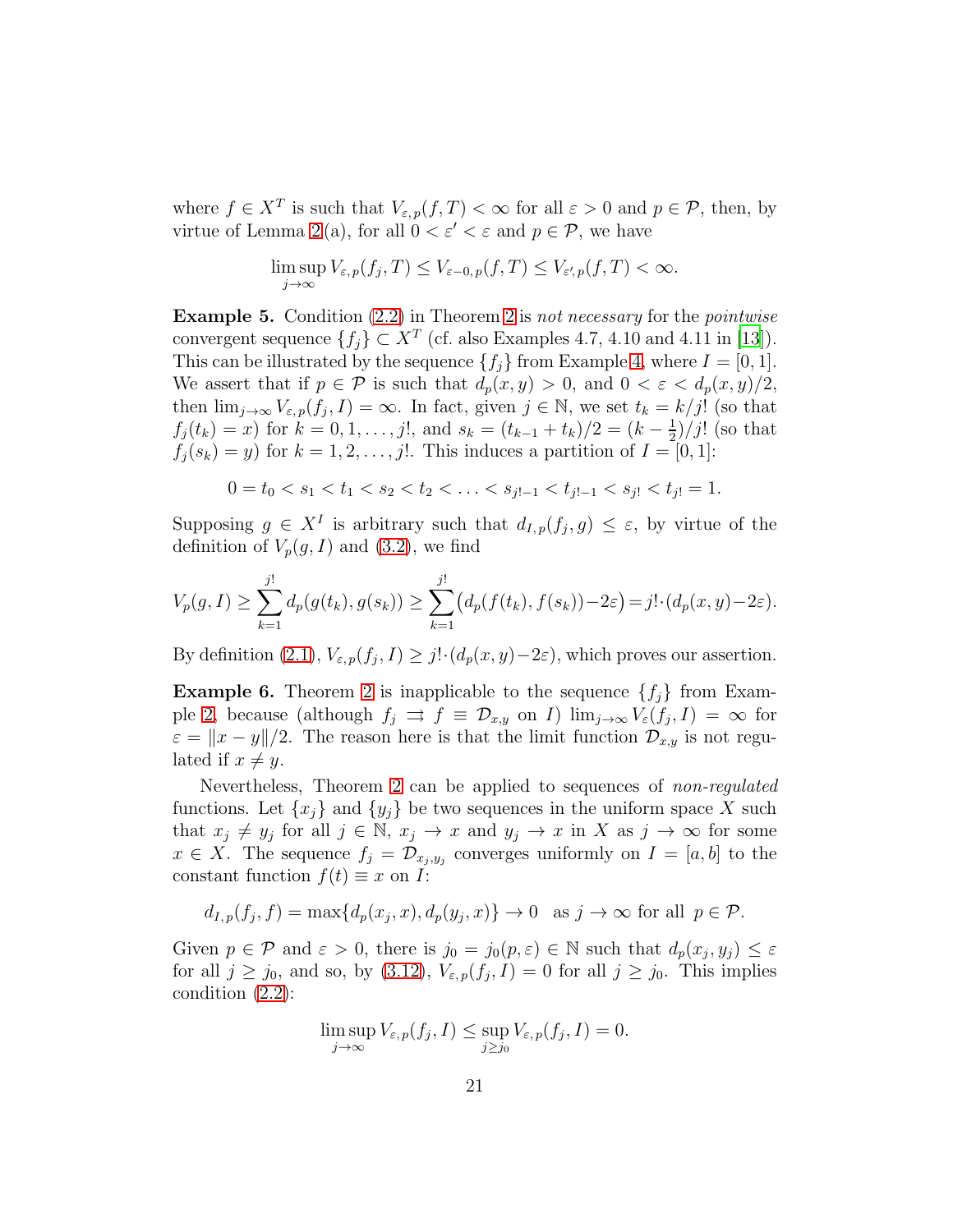where  $f \in X^T$  is such that  $V_{\varepsilon,p}(f,T) < \infty$  for all  $\varepsilon > 0$  and  $p \in \mathcal{P}$ , then, by virtue of Lemma [2](#page-12-0)(a), for all  $0 < \varepsilon' < \varepsilon$  and  $p \in \mathcal{P}$ , we have

$$
\limsup_{j\to\infty} V_{\varepsilon,p}(f_j,T) \leq V_{\varepsilon-0,p}(f,T) \leq V_{\varepsilon',p}(f,T) < \infty.
$$

**Example 5.** Condition  $(2.2)$  in Theorem [2](#page-6-0) is not necessary for the *pointwise* convergent sequence  $\{f_j\} \subset X^T$  (cf. also Examples 4.7, 4.10 and 4.11 in [\[13](#page-22-14)]). This can be illustrated by the sequence  $\{f_i\}$  from Example [4,](#page-14-0) where  $I = [0, 1]$ . We assert that if  $p \in \mathcal{P}$  is such that  $d_p(x, y) > 0$ , and  $0 < \varepsilon < d_p(x, y)/2$ , then  $\lim_{j\to\infty} V_{\varepsilon,p}(f_j,I) = \infty$ . In fact, given  $j \in \mathbb{N}$ , we set  $t_k = k/j!$  (so that  $f_j(t_k) = x$  for  $k = 0, 1, \ldots, j!$ , and  $s_k = (t_{k-1} + t_k)/2 = (k - \frac{1}{2})$  $\frac{1}{2}$ )/j! (so that  $f_j(s_k) = y$  for  $k = 1, 2, \ldots, j!$ . This induces a partition of  $I = [0, 1]$ :

$$
0 = t_0 < s_1 < t_1 < s_2 < t_2 < \ldots < s_{j!-1} < t_{j!-1} < s_{j!} < t_{j!} = 1.
$$

Supposing  $g \in X^I$  is arbitrary such that  $d_{I,p}(f_j,g) \leq \varepsilon$ , by virtue of the definition of  $V_p(g, I)$  and [\(3.2\)](#page-6-3), we find

$$
V_p(g, I) \ge \sum_{k=1}^{j!} d_p(g(t_k), g(s_k)) \ge \sum_{k=1}^{j!} (d_p(f(t_k), f(s_k)) - 2\varepsilon) = j! \cdot (d_p(x, y) - 2\varepsilon).
$$

By definition  $(2.1)$ ,  $V_{\varepsilon,p}(f_j,I) \geq j! \cdot (d_p(x,y)-2\varepsilon)$ , which proves our assertion.

**Example 6.** Theorem [2](#page-6-0) is inapplicable to the sequence  $\{f_i\}$  from Exam-ple [2,](#page-13-0) because (although  $f_j \implies f \equiv \mathcal{D}_{x,y}$  on I)  $\lim_{j\to\infty} V_{\varepsilon}(f_j,I) = \infty$  for  $\varepsilon = ||x - y||/2$ . The reason here is that the limit function  $\mathcal{D}_{x,y}$  is not regulated if  $x \neq y$ .

Nevertheless, Theorem [2](#page-6-0) can be applied to sequences of non-regulated functions. Let  $\{x_j\}$  and  $\{y_j\}$  be two sequences in the uniform space X such that  $x_j \neq y_j$  for all  $j \in \mathbb{N}$ ,  $x_j \to x$  and  $y_j \to x$  in X as  $j \to \infty$  for some  $x \in X$ . The sequence  $f_j = \mathcal{D}_{x_j, y_j}$  converges uniformly on  $I = [a, b]$  to the constant function  $f(t) \equiv x$  on I:

$$
d_{I,p}(f_j, f) = \max\{d_p(x_j, x), d_p(y_j, x)\} \to 0 \text{ as } j \to \infty \text{ for all } p \in \mathcal{P}.
$$

Given  $p \in \mathcal{P}$  and  $\varepsilon > 0$ , there is  $j_0 = j_0(p, \varepsilon) \in \mathbb{N}$  such that  $d_p(x_j, y_j) \leq \varepsilon$ for all  $j \ge j_0$ , and so, by [\(3.12\)](#page-11-2),  $V_{\varepsilon,p}(f_j, I) = 0$  for all  $j \ge j_0$ . This implies condition [\(2.2\)](#page-6-2):

$$
\limsup_{j \to \infty} V_{\varepsilon,p}(f_j, I) \leq \sup_{j \geq j_0} V_{\varepsilon,p}(f_j, I) = 0.
$$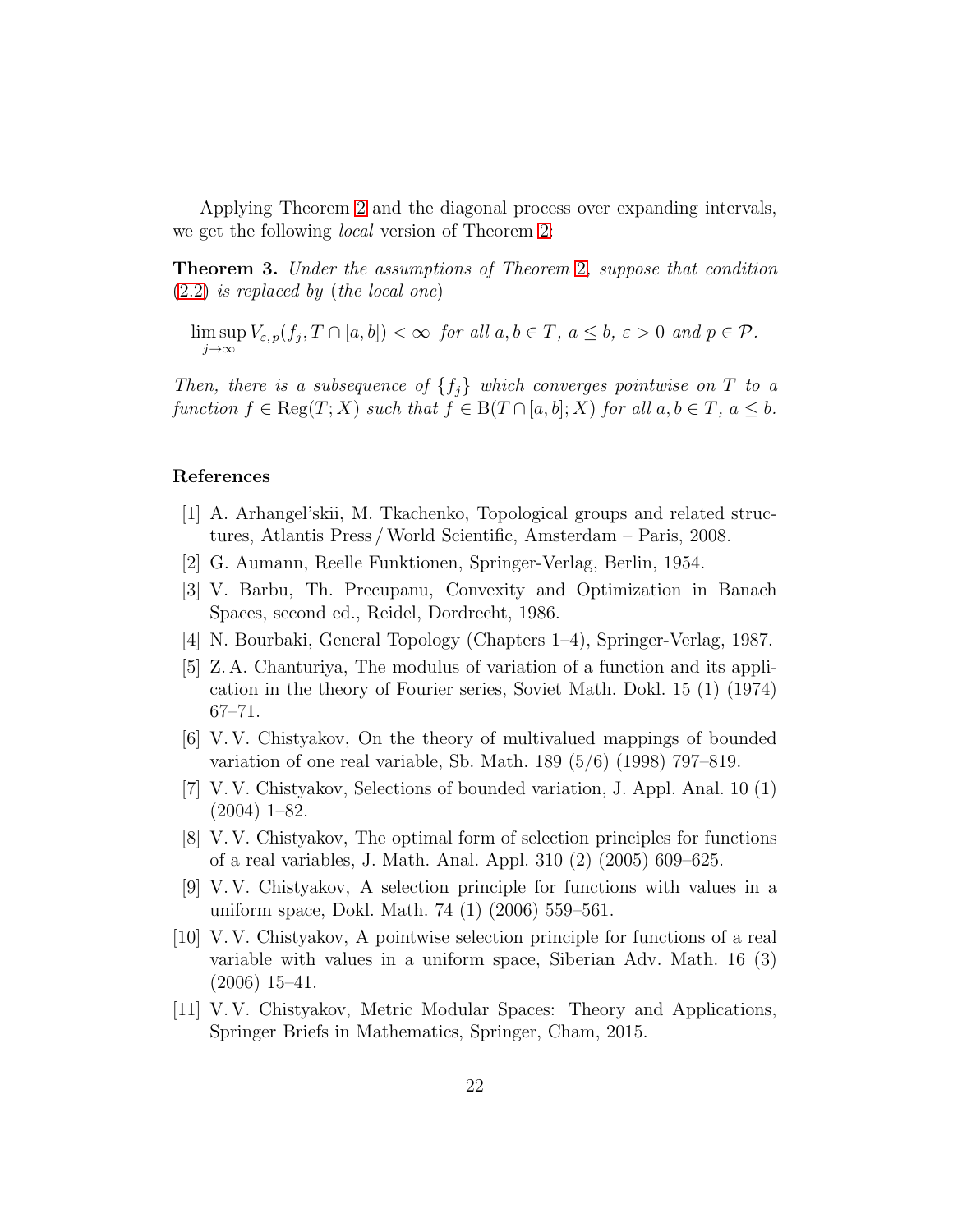Applying Theorem [2](#page-6-0) and the diagonal process over expanding intervals, we get the following local version of Theorem [2:](#page-6-0)

**Theorem 3.** Under the assumptions of Theorem [2](#page-6-0), suppose that condition [\(2.2\)](#page-6-2) is replaced by (the local one)

lim sup  $\limsup_{j\to\infty} V_{\varepsilon,p}(f_j,T\cap[a,b]) < \infty$  for all  $a,b\in T$ ,  $a\leq b, \varepsilon > 0$  and  $p\in\mathcal{P}$ .

Then, there is a subsequence of  $\{f_i\}$  which converges pointwise on T to a function  $f \in \text{Reg}(T; X)$  such that  $f \in B(T \cap [a, b]; X)$  for all  $a, b \in T$ ,  $a \leq b$ .

## References

- <span id="page-21-10"></span>[1] A. Arhangel'skii, M. Tkachenko, Topological groups and related structures, Atlantis Press /World Scientific, Amsterdam – Paris, 2008.
- <span id="page-21-4"></span>[2] G. Aumann, Reelle Funktionen, Springer-Verlag, Berlin, 1954.
- <span id="page-21-5"></span>[3] V. Barbu, Th. Precupanu, Convexity and Optimization in Banach Spaces, second ed., Reidel, Dordrecht, 1986.
- <span id="page-21-8"></span>[4] N. Bourbaki, General Topology (Chapters 1–4), Springer-Verlag, 1987.
- <span id="page-21-6"></span>[5] Z. A. Chanturiya, The modulus of variation of a function and its application in the theory of Fourier series, Soviet Math. Dokl. 15 (1) (1974) 67–71.
- <span id="page-21-0"></span>[6] V. V. Chistyakov, On the theory of multivalued mappings of bounded variation of one real variable, Sb. Math. 189 (5/6) (1998) 797–819.
- <span id="page-21-1"></span>[7] V. V. Chistyakov, Selections of bounded variation, J. Appl. Anal. 10 (1) (2004) 1–82.
- <span id="page-21-2"></span>[8] V. V. Chistyakov, The optimal form of selection principles for functions of a real variables, J. Math. Anal. Appl. 310 (2) (2005) 609–625.
- <span id="page-21-7"></span>[9] V. V. Chistyakov, A selection principle for functions with values in a uniform space, Dokl. Math. 74 (1) (2006) 559–561.
- <span id="page-21-9"></span>[10] V. V. Chistyakov, A pointwise selection principle for functions of a real variable with values in a uniform space, Siberian Adv. Math. 16 (3) (2006) 15–41.
- <span id="page-21-3"></span>[11] V. V. Chistyakov, Metric Modular Spaces: Theory and Applications, Springer Briefs in Mathematics, Springer, Cham, 2015.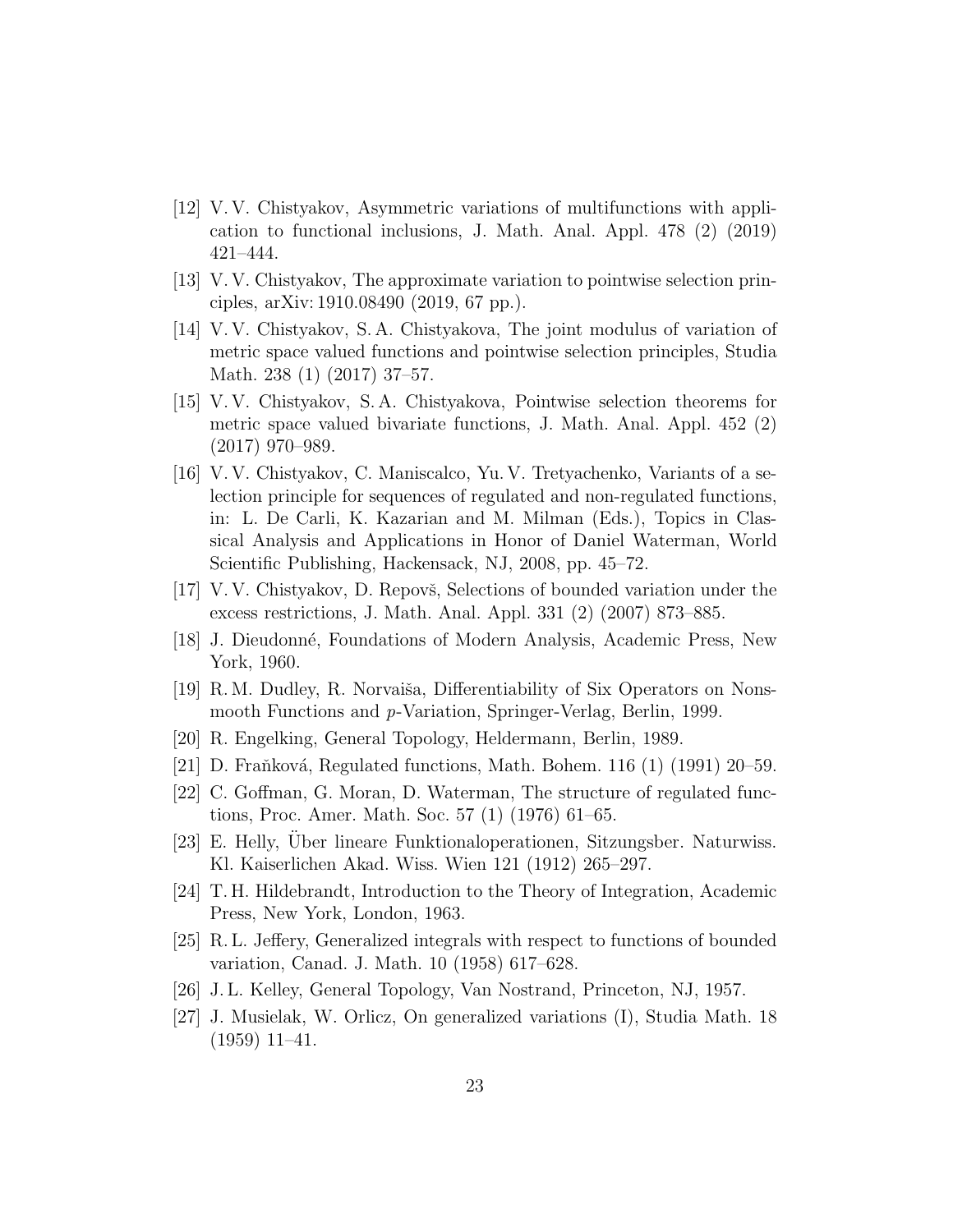- <span id="page-22-9"></span>[12] V. V. Chistyakov, Asymmetric variations of multifunctions with application to functional inclusions, J. Math. Anal. Appl. 478 (2) (2019) 421–444.
- <span id="page-22-14"></span>[13] V. V. Chistyakov, The approximate variation to pointwise selection principles, arXiv: 1910.08490 (2019, 67 pp.).
- <span id="page-22-4"></span>[14] V. V. Chistyakov, S. A. Chistyakova, The joint modulus of variation of metric space valued functions and pointwise selection principles, Studia Math. 238 (1) (2017) 37–57.
- <span id="page-22-5"></span>[15] V. V. Chistyakov, S. A. Chistyakova, Pointwise selection theorems for metric space valued bivariate functions, J. Math. Anal. Appl. 452 (2) (2017) 970–989.
- <span id="page-22-6"></span>[16] V. V. Chistyakov, C. Maniscalco, Yu. V. Tretyachenko, Variants of a selection principle for sequences of regulated and non-regulated functions, in: L. De Carli, K. Kazarian and M. Milman (Eds.), Topics in Classical Analysis and Applications in Honor of Daniel Waterman, World Scientific Publishing, Hackensack, NJ, 2008, pp. 45–72.
- <span id="page-22-10"></span>[17] V.V. Chistyakov, D. Repovš, Selections of bounded variation under the excess restrictions, J. Math. Anal. Appl. 331 (2) (2007) 873–885.
- <span id="page-22-2"></span>[18] J. Dieudonné, Foundations of Modern Analysis, Academic Press, New York, 1960.
- <span id="page-22-12"></span> $[19]$  R. M. Dudley, R. Norvaiša, Differentiability of Six Operators on Nonsmooth Functions and p-Variation, Springer-Verlag, Berlin, 1999.
- <span id="page-22-15"></span>[20] R. Engelking, General Topology, Heldermann, Berlin, 1989.
- <span id="page-22-7"></span>[21] D. Fraňková, Regulated functions, Math. Bohem. 116 (1) (1991) 20–59.
- <span id="page-22-13"></span>[22] C. Goffman, G. Moran, D. Waterman, The structure of regulated functions, Proc. Amer. Math. Soc. 57 (1) (1976) 61–65.
- <span id="page-22-0"></span>[23] E. Helly, Über lineare Funktionaloperationen, Sitzungsber. Naturwiss. Kl. Kaiserlichen Akad. Wiss. Wien 121 (1912) 265–297.
- <span id="page-22-1"></span>[24] T. H. Hildebrandt, Introduction to the Theory of Integration, Academic Press, New York, London, 1963.
- <span id="page-22-11"></span>[25] R. L. Jeffery, Generalized integrals with respect to functions of bounded variation, Canad. J. Math. 10 (1958) 617–628.
- <span id="page-22-3"></span>[26] J. L. Kelley, General Topology, Van Nostrand, Princeton, NJ, 1957.
- <span id="page-22-8"></span>[27] J. Musielak, W. Orlicz, On generalized variations (I), Studia Math. 18 (1959) 11–41.